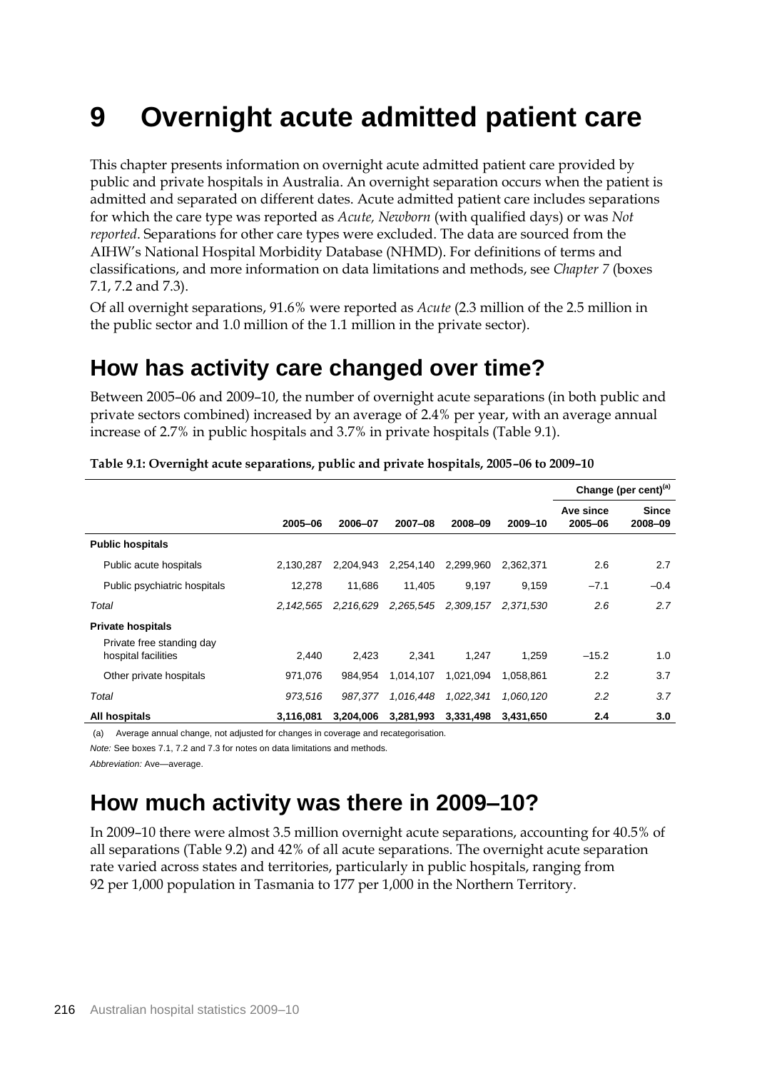# **9 Overnight acute admitted patient care**

This chapter presents information on overnight acute admitted patient care provided by public and private hospitals in Australia. An overnight separation occurs when the patient is admitted and separated on different dates. Acute admitted patient care includes separations for which the care type was reported as *Acute, Newborn* (with qualified days) or was *Not reported*. Separations for other care types were excluded. The data are sourced from the AIHW's National Hospital Morbidity Database (NHMD). For definitions of terms and classifications, and more information on data limitations and methods, see *Chapter 7* (boxes 7.1, 7.2 and 7.3).

Of all overnight separations, 91.6% were reported as *Acute* (2.3 million of the 2.5 million in the public sector and 1.0 million of the 1.1 million in the private sector).

# **How has activity care changed over time?**

Between 2005–06 and 2009–10, the number of overnight acute separations (in both public and private sectors combined) increased by an average of 2.4% per year, with an average annual increase of 2.7% in public hospitals and 3.7% in private hospitals (Table 9.1).

|                                                  |             |           |           |           |           |                      | Change (per cent) $(a)$ |
|--------------------------------------------------|-------------|-----------|-----------|-----------|-----------|----------------------|-------------------------|
|                                                  | 2005-06     | 2006-07   | 2007-08   | 2008-09   | 2009-10   | Ave since<br>2005-06 | <b>Since</b><br>2008-09 |
| <b>Public hospitals</b>                          |             |           |           |           |           |                      |                         |
| Public acute hospitals                           | 2.130.287   | 2,204,943 | 2,254,140 | 2,299,960 | 2.362.371 | 2.6                  | 2.7                     |
| Public psychiatric hospitals                     | 12,278      | 11.686    | 11.405    | 9.197     | 9,159     | $-7.1$               | $-0.4$                  |
| Total                                            | 2, 142, 565 | 2,216,629 | 2,265,545 | 2,309,157 | 2.371.530 | 2.6                  | 2.7                     |
| <b>Private hospitals</b>                         |             |           |           |           |           |                      |                         |
| Private free standing day<br>hospital facilities | 2,440       | 2,423     | 2,341     | 1.247     | 1,259     | $-15.2$              | 1.0                     |
| Other private hospitals                          | 971,076     | 984.954   | 1,014,107 | 1,021,094 | 1.058.861 | 2.2                  | 3.7                     |
| Total                                            | 973,516     | 987,377   | 1,016,448 | 1,022,341 | 1.060.120 | 2.2                  | 3.7                     |
| All hospitals                                    | 3,116,081   | 3,204,006 | 3,281,993 | 3,331,498 | 3.431.650 | 2.4                  | 3.0                     |

**Table 9.1: Overnight acute separations, public and private hospitals, 2005–06 to 2009–10**

(a) Average annual change, not adjusted for changes in coverage and recategorisation.

*Note:* See boxes 7.1, 7.2 and 7.3 for notes on data limitations and methods.

*Abbreviation:* Ave—average.

# **How much activity was there in 2009–10?**

In 2009–10 there were almost 3.5 million overnight acute separations, accounting for 40.5% of all separations (Table 9.2) and 42% of all acute separations. The overnight acute separation rate varied across states and territories, particularly in public hospitals, ranging from 92 per 1,000 population in Tasmania to 177 per 1,000 in the Northern Territory.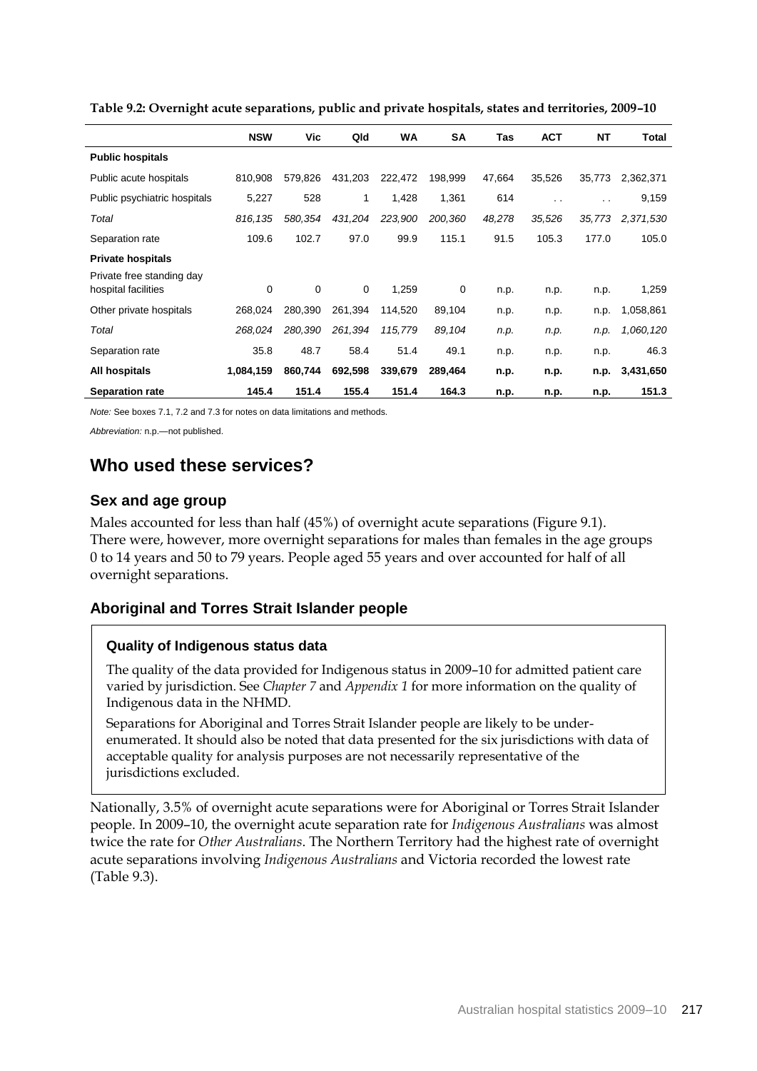|                                                       | <b>NSW</b> | Vic         | Qld     | <b>WA</b> | <b>SA</b> | Tas    | <b>ACT</b> | <b>NT</b>            | Total     |
|-------------------------------------------------------|------------|-------------|---------|-----------|-----------|--------|------------|----------------------|-----------|
| <b>Public hospitals</b>                               |            |             |         |           |           |        |            |                      |           |
| Public acute hospitals                                | 810.908    | 579,826     | 431,203 | 222,472   | 198,999   | 47,664 | 35,526     | 35,773               | 2,362,371 |
| Public psychiatric hospitals                          | 5,227      | 528         | 1       | 1,428     | 1,361     | 614    | . .        | $\ddot{\phantom{0}}$ | 9,159     |
| Total                                                 | 816,135    | 580,354     | 431,204 | 223,900   | 200,360   | 48,278 | 35,526     | 35,773               | 2,371,530 |
| Separation rate                                       | 109.6      | 102.7       | 97.0    | 99.9      | 115.1     | 91.5   | 105.3      | 177.0                | 105.0     |
| <b>Private hospitals</b><br>Private free standing day |            |             |         |           |           |        |            |                      |           |
| hospital facilities                                   | 0          | $\mathbf 0$ | 0       | 1,259     | 0         | n.p.   | n.p.       | n.p.                 | 1,259     |
| Other private hospitals                               | 268,024    | 280,390     | 261,394 | 114,520   | 89,104    | n.p.   | n.p.       | n.p.                 | 1,058,861 |
| Total                                                 | 268,024    | 280,390     | 261,394 | 115,779   | 89,104    | n.p.   | n.p.       | n.p.                 | 1,060,120 |
| Separation rate                                       | 35.8       | 48.7        | 58.4    | 51.4      | 49.1      | n.p.   | n.p.       | n.p.                 | 46.3      |
| All hospitals                                         | 1,084,159  | 860,744     | 692,598 | 339,679   | 289,464   | n.p.   | n.p.       | n.p.                 | 3,431,650 |
| <b>Separation rate</b>                                | 145.4      | 151.4       | 155.4   | 151.4     | 164.3     | n.p.   | n.p.       | n.p.                 | 151.3     |

**Table 9.2: Overnight acute separations, public and private hospitals, states and territories, 2009–10**

*Note:* See boxes 7.1, 7.2 and 7.3 for notes on data limitations and methods.

*Abbreviation:* n.p.—not published.

# **Who used these services?**

## **Sex and age group**

Males accounted for less than half (45%) of overnight acute separations (Figure 9.1). There were, however, more overnight separations for males than females in the age groups 0 to 14 years and 50 to 79 years. People aged 55 years and over accounted for half of all overnight separations.

## **Aboriginal and Torres Strait Islander people**

#### **Quality of Indigenous status data**

The quality of the data provided for Indigenous status in 2009–10 for admitted patient care varied by jurisdiction. See *Chapter 7* and *Appendix 1* for more information on the quality of Indigenous data in the NHMD.

Separations for Aboriginal and Torres Strait Islander people are likely to be underenumerated. It should also be noted that data presented for the six jurisdictions with data of acceptable quality for analysis purposes are not necessarily representative of the jurisdictions excluded.

Nationally, 3.5% of overnight acute separations were for Aboriginal or Torres Strait Islander people. In 2009–10, the overnight acute separation rate for *Indigenous Australians* was almost twice the rate for *Other Australians*. The Northern Territory had the highest rate of overnight acute separations involving *Indigenous Australians* and Victoria recorded the lowest rate (Table 9.3).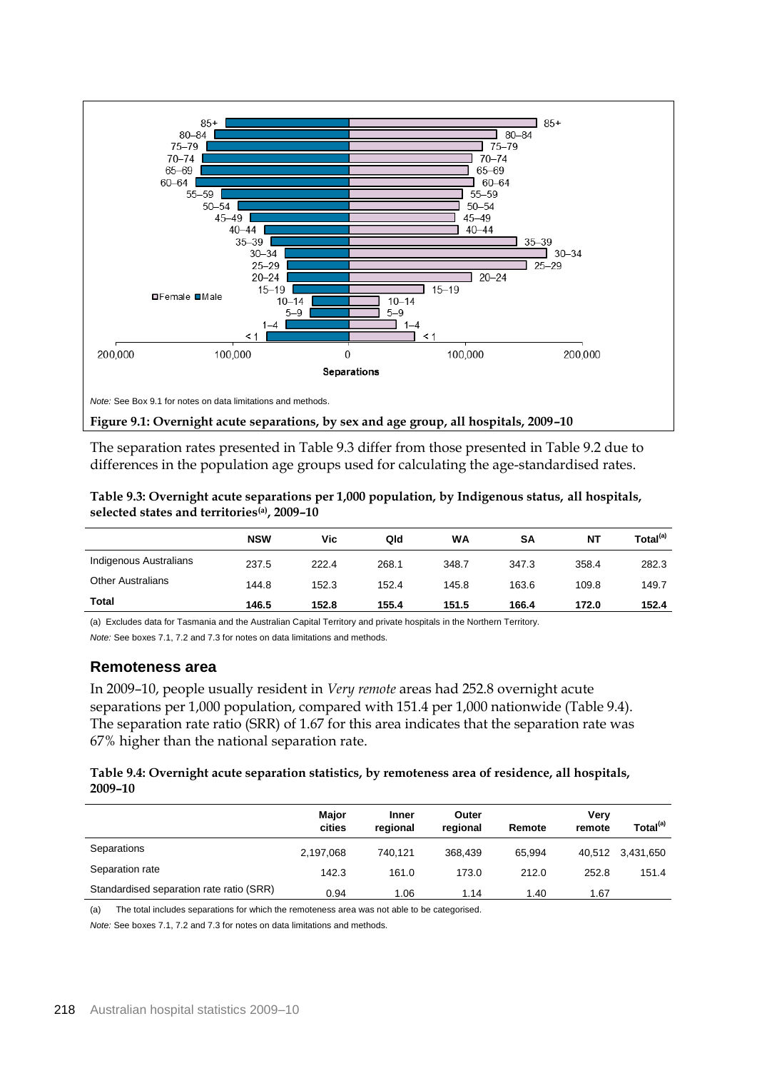

The separation rates presented in Table 9.3 differ from those presented in Table 9.2 due to differences in the population age groups used for calculating the age-standardised rates.

**Table 9.3: Overnight acute separations per 1,000 population, by Indigenous status, all hospitals, selected states and territories(a), 2009–10**

|                          | <b>NSW</b> | Vic   | Qld   | WA    | SΑ    | ΝT    | Total <sup>(a)</sup> |
|--------------------------|------------|-------|-------|-------|-------|-------|----------------------|
| Indigenous Australians   | 237.5      | 222.4 | 268.1 | 348.7 | 347.3 | 358.4 | 282.3                |
| <b>Other Australians</b> | 144.8      | 152.3 | 152.4 | 145.8 | 163.6 | 109.8 | 149.7                |
| Total                    | 146.5      | 152.8 | 155.4 | 151.5 | 166.4 | 172.0 | 152.4                |

(a) Excludes data for Tasmania and the Australian Capital Territory and private hospitals in the Northern Territory. *Note:* See boxes 7.1, 7.2 and 7.3 for notes on data limitations and methods.

#### **Remoteness area**

In 2009–10, people usually resident in *Very remote* areas had 252.8 overnight acute separations per 1,000 population, compared with 151.4 per 1,000 nationwide (Table 9.4). The separation rate ratio (SRR) of 1.67 for this area indicates that the separation rate was 67% higher than the national separation rate.

#### **Table 9.4: Overnight acute separation statistics, by remoteness area of residence, all hospitals, 2009–10**

|                                          | <b>Major</b><br>cities | <b>Inner</b><br>regional | Outer<br>regional | Remote | Very<br>remote | Total <sup>(a)</sup> |
|------------------------------------------|------------------------|--------------------------|-------------------|--------|----------------|----------------------|
| Separations                              | 2,197,068              | 740.121                  | 368.439           | 65.994 |                | 40,512 3,431,650     |
| Separation rate                          | 142.3                  | 161.0                    | 173.0             | 212.0  | 252.8          | 151.4                |
| Standardised separation rate ratio (SRR) | 0.94                   | 1.06                     | 1.14              | 1.40   | 1.67           |                      |

(a) The total includes separations for which the remoteness area was not able to be categorised.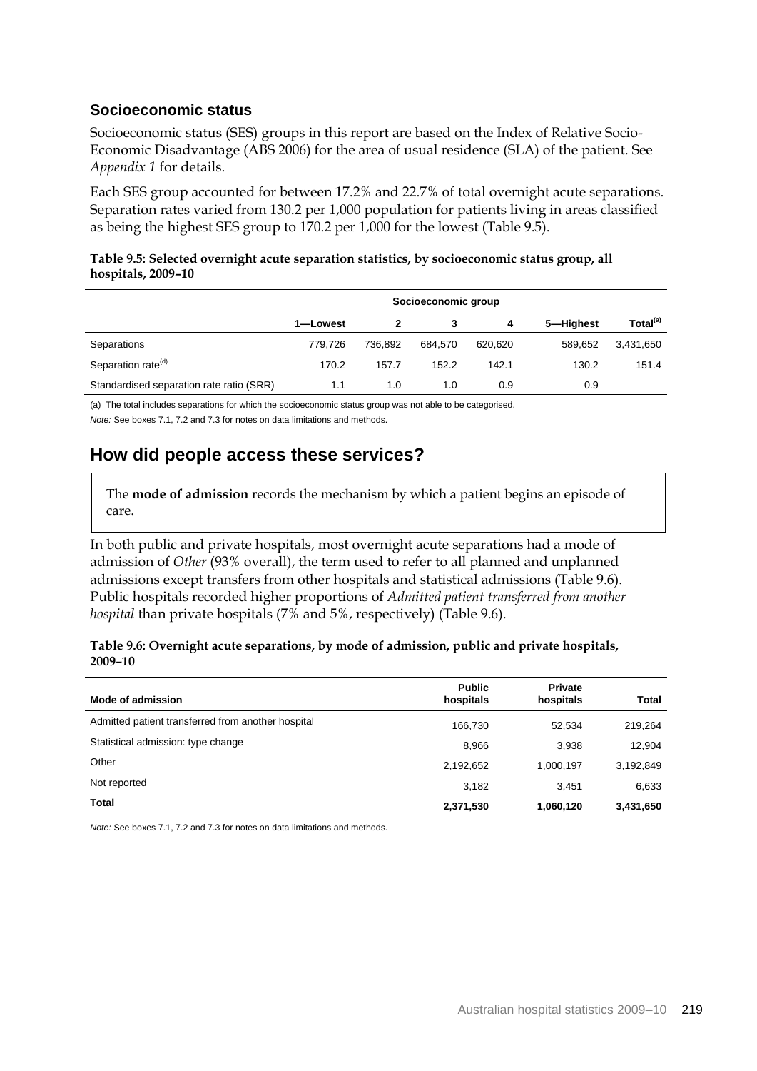### **Socioeconomic status**

Socioeconomic status (SES) groups in this report are based on the Index of Relative Socio-Economic Disadvantage (ABS 2006) for the area of usual residence (SLA) of the patient. See *Appendix 1* for details.

Each SES group accounted for between 17.2% and 22.7% of total overnight acute separations. Separation rates varied from 130.2 per 1,000 population for patients living in areas classified as being the highest SES group to 170.2 per 1,000 for the lowest (Table 9.5).

#### **Table 9.5: Selected overnight acute separation statistics, by socioeconomic status group, all hospitals, 2009–10**

|                                          |          | Socioeconomic group |         |         |           |                      |
|------------------------------------------|----------|---------------------|---------|---------|-----------|----------------------|
|                                          | 1-Lowest |                     |         | 4       | 5-Highest | Total <sup>(a)</sup> |
| Separations                              | 779.726  | 736.892             | 684.570 | 620.620 | 589.652   | 3,431,650            |
| Separation rate <sup>(d)</sup>           | 170.2    | 157.7               | 152.2   | 142.1   | 130.2     | 151.4                |
| Standardised separation rate ratio (SRR) | 1.1      | 1.0                 | 1.0     | 0.9     | 0.9       |                      |

(a) The total includes separations for which the socioeconomic status group was not able to be categorised.

*Note:* See boxes 7.1, 7.2 and 7.3 for notes on data limitations and methods.

# **How did people access these services?**

The **mode of admission** records the mechanism by which a patient begins an episode of care.

In both public and private hospitals, most overnight acute separations had a mode of admission of *Other* (93% overall), the term used to refer to all planned and unplanned admissions except transfers from other hospitals and statistical admissions (Table 9.6). Public hospitals recorded higher proportions of *Admitted patient transferred from another hospital* than private hospitals (7% and 5%, respectively) (Table 9.6).

| Table 9.6: Overnight acute separations, by mode of admission, public and private hospitals, |  |
|---------------------------------------------------------------------------------------------|--|
| 2009-10                                                                                     |  |

| Mode of admission                                  | <b>Public</b><br>hospitals | <b>Private</b><br>hospitals | <b>Total</b> |
|----------------------------------------------------|----------------------------|-----------------------------|--------------|
| Admitted patient transferred from another hospital | 166.730                    | 52,534                      | 219,264      |
| Statistical admission: type change                 | 8,966                      | 3,938                       | 12,904       |
| Other                                              | 2,192,652                  | 1,000,197                   | 3,192,849    |
| Not reported                                       | 3,182                      | 3.451                       | 6,633        |
| Total                                              | 2,371,530                  | 1,060,120                   | 3,431,650    |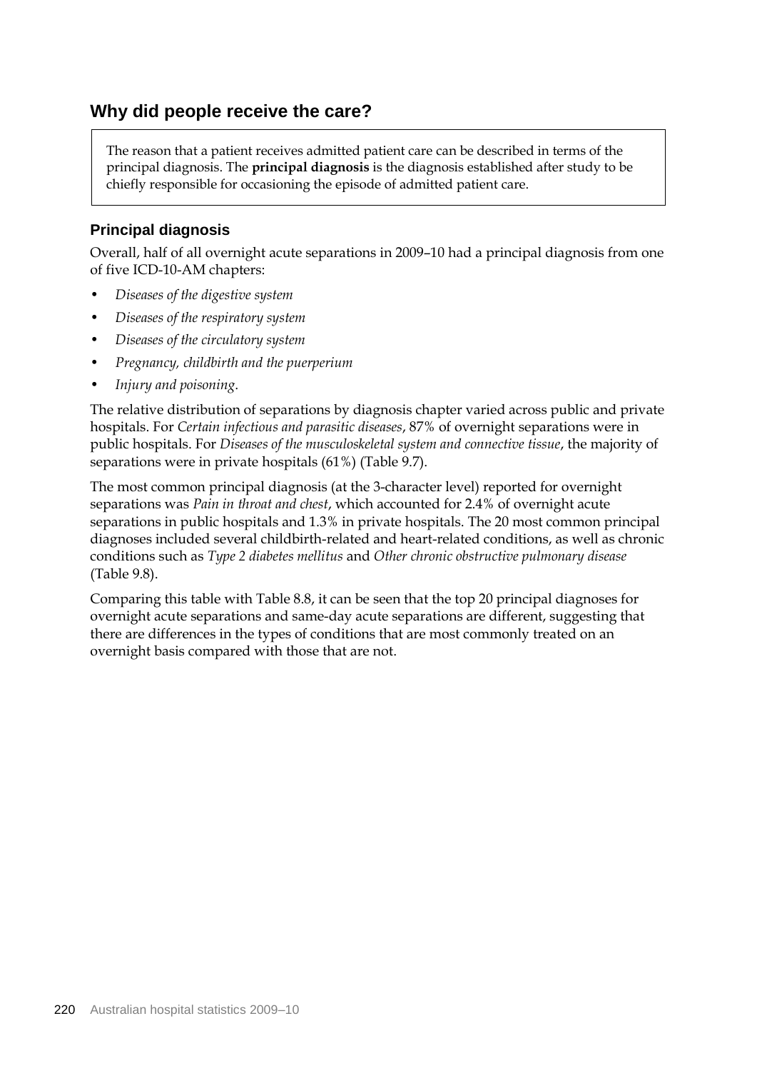# **Why did people receive the care?**

The reason that a patient receives admitted patient care can be described in terms of the principal diagnosis. The **principal diagnosis** is the diagnosis established after study to be chiefly responsible for occasioning the episode of admitted patient care.

## **Principal diagnosis**

Overall, half of all overnight acute separations in 2009–10 had a principal diagnosis from one of five ICD-10-AM chapters:

- *Diseases of the digestive system*
- *Diseases of the respiratory system*
- *Diseases of the circulatory system*
- *Pregnancy, childbirth and the puerperium*
- *Injury and poisoning*.

The relative distribution of separations by diagnosis chapter varied across public and private hospitals. For *Certain infectious and parasitic diseases*, 87% of overnight separations were in public hospitals. For *Diseases of the musculoskeletal system and connective tissue*, the majority of separations were in private hospitals (61%) (Table 9.7).

The most common principal diagnosis (at the 3-character level) reported for overnight separations was *Pain in throat and chest*, which accounted for 2.4% of overnight acute separations in public hospitals and 1.3% in private hospitals. The 20 most common principal diagnoses included several childbirth-related and heart-related conditions, as well as chronic conditions such as *Type 2 diabetes mellitus* and *Other chronic obstructive pulmonary disease* (Table 9.8).

Comparing this table with Table 8.8, it can be seen that the top 20 principal diagnoses for overnight acute separations and same-day acute separations are different, suggesting that there are differences in the types of conditions that are most commonly treated on an overnight basis compared with those that are not.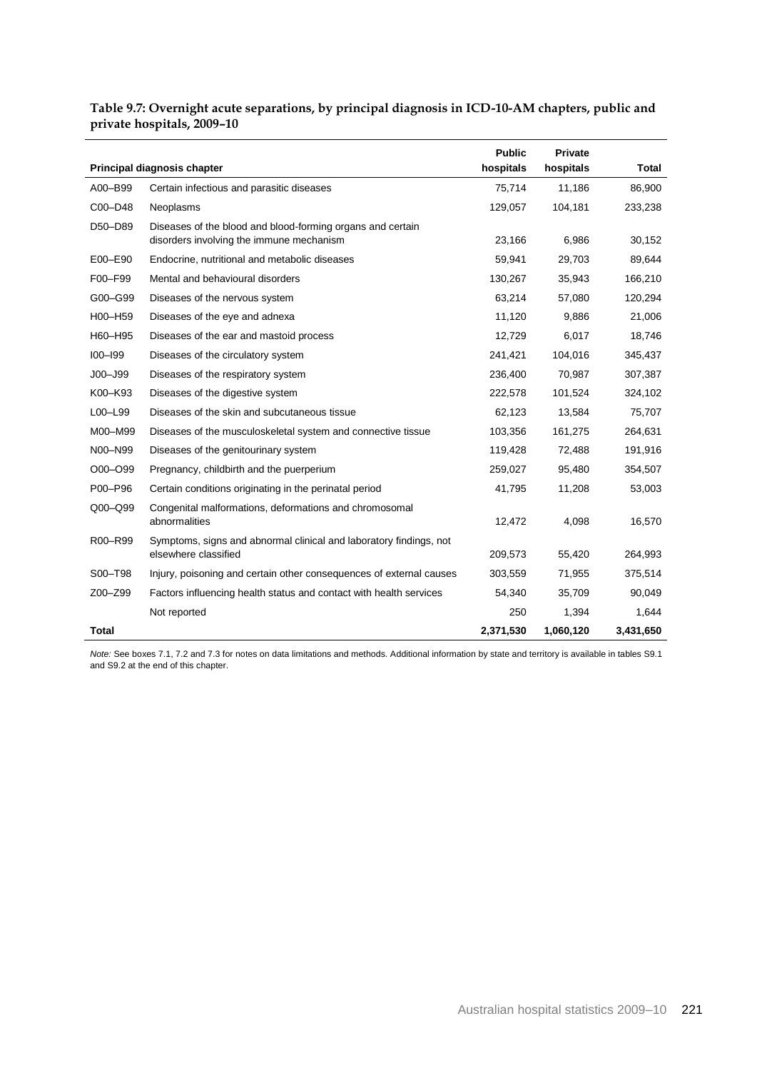#### **Table 9.7: Overnight acute separations, by principal diagnosis in ICD-10-AM chapters, public and private hospitals, 2009–10**

|              |                                                                                                        | <b>Public</b> | <b>Private</b> |              |
|--------------|--------------------------------------------------------------------------------------------------------|---------------|----------------|--------------|
|              | Principal diagnosis chapter                                                                            | hospitals     | hospitals      | <b>Total</b> |
| A00-B99      | Certain infectious and parasitic diseases                                                              | 75,714        | 11,186         | 86,900       |
| C00-D48      | Neoplasms                                                                                              | 129,057       | 104,181        | 233,238      |
| D50-D89      | Diseases of the blood and blood-forming organs and certain<br>disorders involving the immune mechanism | 23,166        | 6,986          | 30,152       |
|              |                                                                                                        |               |                |              |
| E00-E90      | Endocrine, nutritional and metabolic diseases                                                          | 59,941        | 29,703         | 89,644       |
| F00-F99      | Mental and behavioural disorders                                                                       | 130,267       | 35,943         | 166,210      |
| G00-G99      | Diseases of the nervous system                                                                         | 63,214        | 57,080         | 120,294      |
| H00-H59      | Diseases of the eye and adnexa                                                                         | 11,120        | 9,886          | 21,006       |
| H60-H95      | Diseases of the ear and mastoid process                                                                | 12,729        | 6,017          | 18,746       |
| $IOO-I99$    | Diseases of the circulatory system                                                                     | 241,421       | 104,016        | 345,437      |
| $JOO - J99$  | Diseases of the respiratory system                                                                     | 236,400       | 70,987         | 307,387      |
| K00-K93      | Diseases of the digestive system                                                                       | 222,578       | 101,524        | 324,102      |
| L00-L99      | Diseases of the skin and subcutaneous tissue                                                           | 62,123        | 13,584         | 75,707       |
| M00-M99      | Diseases of the musculoskeletal system and connective tissue                                           | 103,356       | 161,275        | 264,631      |
| N00-N99      | Diseases of the genitourinary system                                                                   | 119,428       | 72,488         | 191,916      |
| O00-O99      | Pregnancy, childbirth and the puerperium                                                               | 259,027       | 95,480         | 354,507      |
| P00-P96      | Certain conditions originating in the perinatal period                                                 | 41,795        | 11,208         | 53,003       |
| $Q00 - Q99$  | Congenital malformations, deformations and chromosomal<br>abnormalities                                | 12,472        | 4,098          | 16,570       |
| R00-R99      | Symptoms, signs and abnormal clinical and laboratory findings, not<br>elsewhere classified             | 209,573       | 55,420         | 264,993      |
| S00-T98      | Injury, poisoning and certain other consequences of external causes                                    | 303,559       | 71,955         | 375,514      |
| Z00-Z99      | Factors influencing health status and contact with health services                                     | 54,340        | 35,709         | 90,049       |
|              | Not reported                                                                                           | 250           | 1,394          | 1,644        |
| <b>Total</b> |                                                                                                        | 2,371,530     | 1,060,120      | 3,431,650    |

*Note:* See boxes 7.1, 7.2 and 7.3 for notes on data limitations and methods. Additional information by state and territory is available in tables S9.1 and S9.2 at the end of this chapter.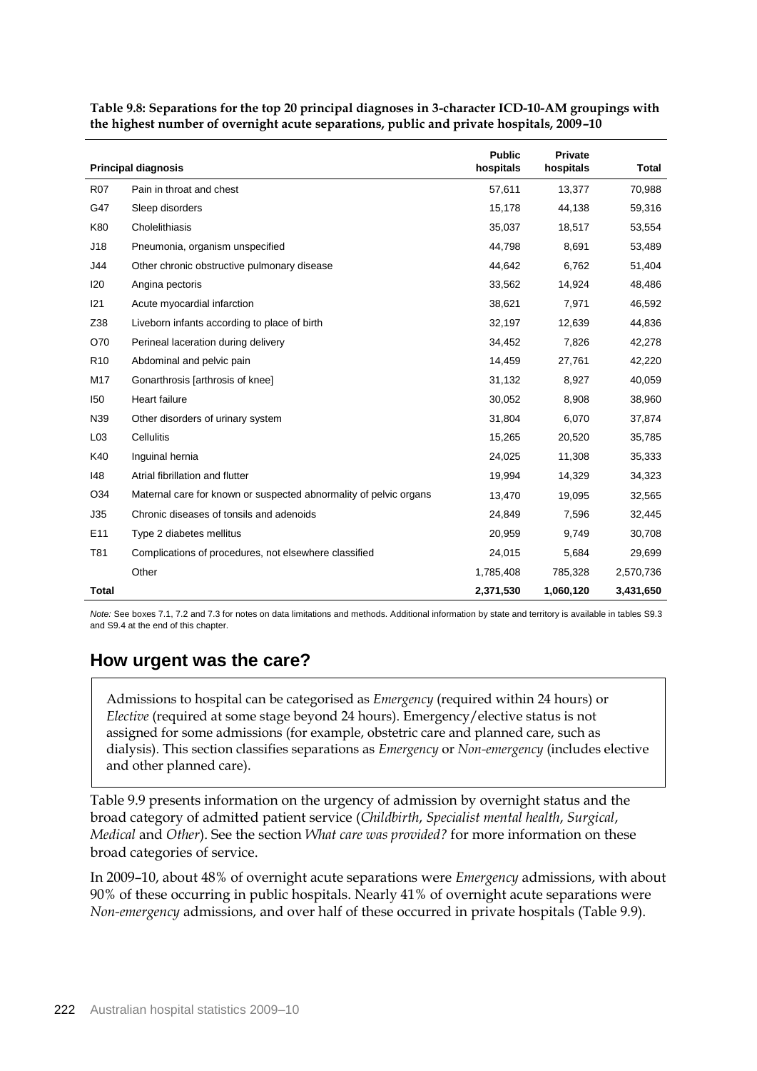|                 | <b>Principal diagnosis</b>                                        | <b>Public</b><br>hospitals | <b>Private</b><br>hospitals | Total     |
|-----------------|-------------------------------------------------------------------|----------------------------|-----------------------------|-----------|
| <b>R07</b>      | Pain in throat and chest                                          | 57,611                     | 13,377                      | 70,988    |
| G47             | Sleep disorders                                                   | 15,178                     | 44,138                      | 59,316    |
| K80             | Cholelithiasis                                                    | 35,037                     | 18,517                      | 53,554    |
| J18             | Pneumonia, organism unspecified                                   | 44,798                     | 8,691                       | 53,489    |
| J44             | Other chronic obstructive pulmonary disease                       | 44,642                     | 6,762                       | 51,404    |
| <b>I20</b>      | Angina pectoris                                                   | 33,562                     | 14,924                      | 48,486    |
| 121             | Acute myocardial infarction                                       | 38,621                     | 7,971                       | 46,592    |
| Z38             | Liveborn infants according to place of birth                      | 32,197                     | 12,639                      | 44,836    |
| O70             | Perineal laceration during delivery                               | 34,452                     | 7,826                       | 42,278    |
| R <sub>10</sub> | Abdominal and pelvic pain                                         | 14,459                     | 27,761                      | 42,220    |
| M17             | Gonarthrosis [arthrosis of knee]                                  | 31,132                     | 8,927                       | 40,059    |
| 150             | <b>Heart failure</b>                                              | 30,052                     | 8,908                       | 38,960    |
| N39             | Other disorders of urinary system                                 | 31,804                     | 6,070                       | 37,874    |
| L <sub>03</sub> | Cellulitis                                                        | 15,265                     | 20,520                      | 35,785    |
| K40             | Inguinal hernia                                                   | 24,025                     | 11,308                      | 35,333    |
| 148             | Atrial fibrillation and flutter                                   | 19,994                     | 14,329                      | 34,323    |
| O34             | Maternal care for known or suspected abnormality of pelvic organs | 13,470                     | 19,095                      | 32,565    |
| J35             | Chronic diseases of tonsils and adenoids                          | 24,849                     | 7,596                       | 32,445    |
| E11             | Type 2 diabetes mellitus                                          | 20,959                     | 9,749                       | 30,708    |
| T81             | Complications of procedures, not elsewhere classified             | 24,015                     | 5,684                       | 29,699    |
|                 | Other                                                             | 1,785,408                  | 785,328                     | 2,570,736 |
| Total           |                                                                   | 2,371,530                  | 1,060,120                   | 3,431,650 |

**Table 9.8: Separations for the top 20 principal diagnoses in 3-character ICD-10-AM groupings with the highest number of overnight acute separations, public and private hospitals, 2009–10**

*Note:* See boxes 7.1, 7.2 and 7.3 for notes on data limitations and methods. Additional information by state and territory is available in tables S9.3 and S9.4 at the end of this chapter.

# **How urgent was the care?**

Admissions to hospital can be categorised as *Emergency* (required within 24 hours) or *Elective* (required at some stage beyond 24 hours). Emergency/elective status is not assigned for some admissions (for example, obstetric care and planned care, such as dialysis). This section classifies separations as *Emergency* or *Non-emergency* (includes elective and other planned care).

Table 9.9 presents information on the urgency of admission by overnight status and the broad category of admitted patient service (*Childbirth*, *Specialist mental health*, *Surgical*, *Medical* and *Other*). See the section *What care was provided?* for more information on these broad categories of service.

In 2009–10, about 48% of overnight acute separations were *Emergency* admissions, with about 90% of these occurring in public hospitals. Nearly 41% of overnight acute separations were *Non-emergency* admissions, and over half of these occurred in private hospitals (Table 9.9).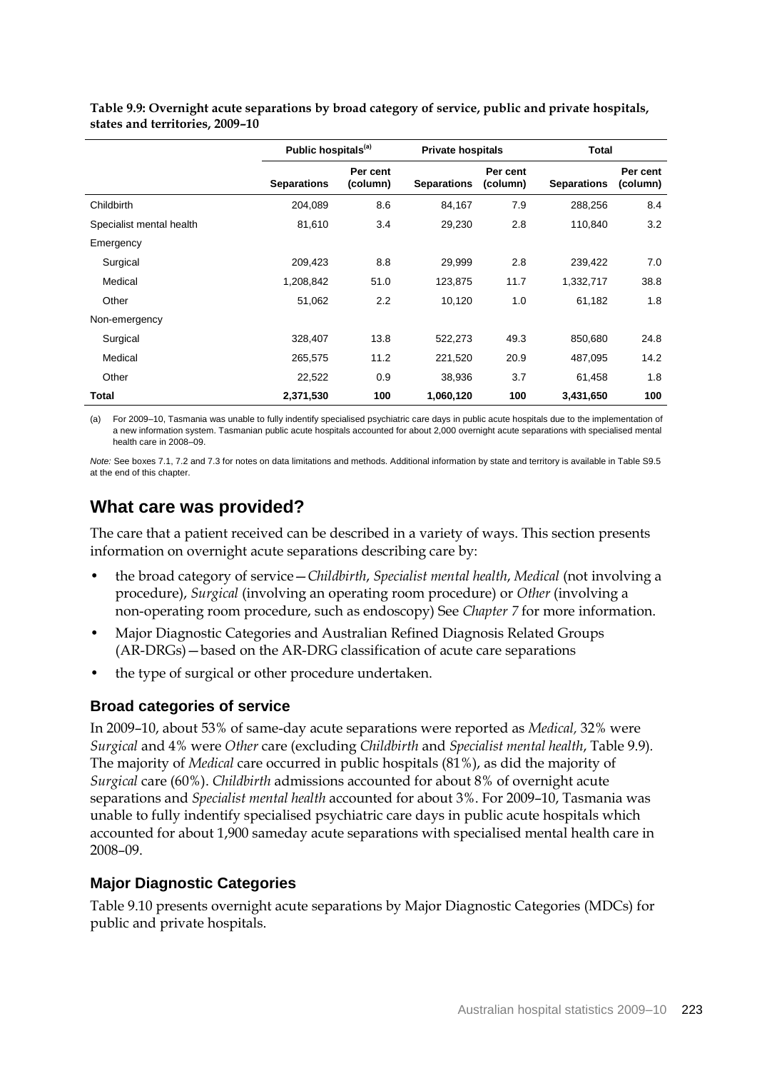|                          | Public hospitals <sup>(a)</sup> |                      | <b>Private hospitals</b> |                      |                    | <b>Total</b>         |  |
|--------------------------|---------------------------------|----------------------|--------------------------|----------------------|--------------------|----------------------|--|
|                          | <b>Separations</b>              | Per cent<br>(column) | <b>Separations</b>       | Per cent<br>(column) | <b>Separations</b> | Per cent<br>(column) |  |
| Childbirth               | 204,089                         | 8.6                  | 84,167                   | 7.9                  | 288,256            | 8.4                  |  |
| Specialist mental health | 81,610                          | 3.4                  | 29,230                   | 2.8                  | 110,840            | 3.2                  |  |
| Emergency                |                                 |                      |                          |                      |                    |                      |  |
| Surgical                 | 209,423                         | 8.8                  | 29,999                   | 2.8                  | 239,422            | 7.0                  |  |
| Medical                  | 1,208,842                       | 51.0                 | 123,875                  | 11.7                 | 1,332,717          | 38.8                 |  |
| Other                    | 51,062                          | 2.2                  | 10,120                   | 1.0                  | 61,182             | 1.8                  |  |
| Non-emergency            |                                 |                      |                          |                      |                    |                      |  |
| Surgical                 | 328,407                         | 13.8                 | 522,273                  | 49.3                 | 850,680            | 24.8                 |  |
| Medical                  | 265,575                         | 11.2                 | 221,520                  | 20.9                 | 487,095            | 14.2                 |  |
| Other                    | 22,522                          | 0.9                  | 38,936                   | 3.7                  | 61.458             | 1.8                  |  |
| Total                    | 2,371,530                       | 100                  | 1,060,120                | 100                  | 3,431,650          | 100                  |  |

**Table 9.9: Overnight acute separations by broad category of service, public and private hospitals, states and territories, 2009–10** 

(a) For 2009–10, Tasmania was unable to fully indentify specialised psychiatric care days in public acute hospitals due to the implementation of a new information system. Tasmanian public acute hospitals accounted for about 2,000 overnight acute separations with specialised mental health care in 2008–09.

*Note:* See boxes 7.1, 7.2 and 7.3 for notes on data limitations and methods. Additional information by state and territory is available in Table S9.5 at the end of this chapter.

# **What care was provided?**

The care that a patient received can be described in a variety of ways. This section presents information on overnight acute separations describing care by:

- the broad category of service—*Childbirth*, *Specialist mental health*, *Medical* (not involving a procedure), *Surgical* (involving an operating room procedure) or *Other* (involving a non-operating room procedure, such as endoscopy) See *Chapter 7* for more information.
- Major Diagnostic Categories and Australian Refined Diagnosis Related Groups (AR-DRGs)—based on the AR-DRG classification of acute care separations
- the type of surgical or other procedure undertaken.

## **Broad categories of service**

In 2009–10, about 53% of same-day acute separations were reported as *Medical,* 32% were *Surgical* and 4% were *Other* care (excluding *Childbirth* and *Specialist mental health*, Table 9.9)*.*  The majority of *Medical* care occurred in public hospitals (81%), as did the majority of *Surgical* care (60%). *Childbirth* admissions accounted for about 8% of overnight acute separations and *Specialist mental health* accounted for about 3%. For 2009–10, Tasmania was unable to fully indentify specialised psychiatric care days in public acute hospitals which accounted for about 1,900 sameday acute separations with specialised mental health care in 2008–09.

## **Major Diagnostic Categories**

Table 9.10 presents overnight acute separations by Major Diagnostic Categories (MDCs) for public and private hospitals.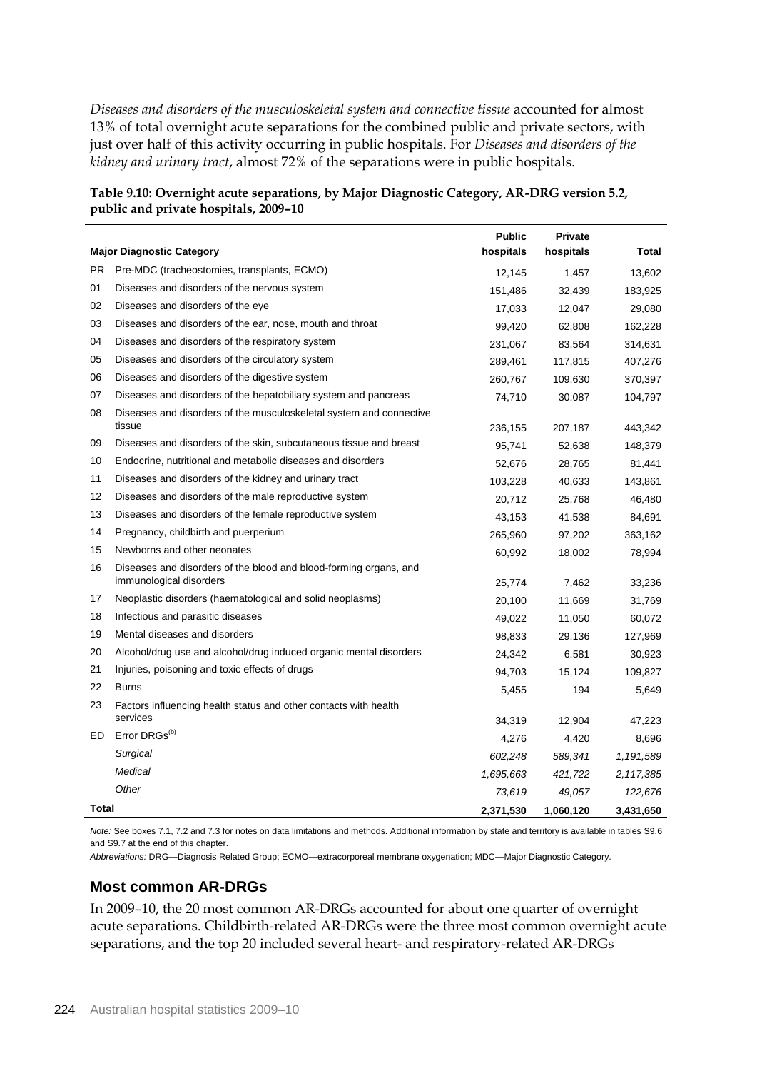*Diseases and disorders of the musculoskeletal system and connective tissue* accounted for almost 13% of total overnight acute separations for the combined public and private sectors, with just over half of this activity occurring in public hospitals. For *Diseases and disorders of the kidney and urinary tract*, almost 72% of the separations were in public hospitals.

|       |                                                                                              | <b>Public</b> | Private   |             |
|-------|----------------------------------------------------------------------------------------------|---------------|-----------|-------------|
|       | <b>Major Diagnostic Category</b>                                                             | hospitals     | hospitals | Total       |
| PR.   | Pre-MDC (tracheostomies, transplants, ECMO)                                                  | 12,145        | 1,457     | 13,602      |
| 01    | Diseases and disorders of the nervous system                                                 | 151,486       | 32,439    | 183,925     |
| 02    | Diseases and disorders of the eye                                                            | 17,033        | 12,047    | 29,080      |
| 03    | Diseases and disorders of the ear, nose, mouth and throat                                    | 99,420        | 62,808    | 162,228     |
| 04    | Diseases and disorders of the respiratory system                                             | 231,067       | 83,564    | 314,631     |
| 05    | Diseases and disorders of the circulatory system                                             | 289,461       | 117,815   | 407,276     |
| 06    | Diseases and disorders of the digestive system                                               | 260,767       | 109,630   | 370,397     |
| 07    | Diseases and disorders of the hepatobiliary system and pancreas                              | 74,710        | 30,087    | 104,797     |
| 08    | Diseases and disorders of the musculoskeletal system and connective                          |               |           |             |
|       | tissue                                                                                       | 236,155       | 207,187   | 443,342     |
| 09    | Diseases and disorders of the skin, subcutaneous tissue and breast                           | 95,741        | 52,638    | 148,379     |
| 10    | Endocrine, nutritional and metabolic diseases and disorders                                  | 52,676        | 28,765    | 81,441      |
| 11    | Diseases and disorders of the kidney and urinary tract                                       | 103,228       | 40,633    | 143,861     |
| 12    | Diseases and disorders of the male reproductive system                                       | 20,712        | 25,768    | 46,480      |
| 13    | Diseases and disorders of the female reproductive system                                     | 43,153        | 41,538    | 84,691      |
| 14    | Pregnancy, childbirth and puerperium                                                         | 265,960       | 97,202    | 363,162     |
| 15    | Newborns and other neonates                                                                  | 60,992        | 18,002    | 78,994      |
| 16    | Diseases and disorders of the blood and blood-forming organs, and<br>immunological disorders | 25,774        | 7,462     | 33,236      |
| 17    | Neoplastic disorders (haematological and solid neoplasms)                                    | 20,100        | 11,669    | 31,769      |
| 18    | Infectious and parasitic diseases                                                            | 49,022        | 11,050    | 60,072      |
| 19    | Mental diseases and disorders                                                                | 98,833        | 29,136    | 127,969     |
| 20    | Alcohol/drug use and alcohol/drug induced organic mental disorders                           | 24,342        | 6,581     | 30,923      |
| 21    | Injuries, poisoning and toxic effects of drugs                                               | 94,703        | 15,124    | 109,827     |
| 22    | <b>Burns</b>                                                                                 | 5,455         | 194       | 5,649       |
| 23    | Factors influencing health status and other contacts with health                             |               |           |             |
|       | services                                                                                     | 34,319        | 12,904    | 47,223      |
| ED    | Error DRGs <sup>(b)</sup>                                                                    | 4,276         | 4,420     | 8,696       |
|       | Surgical                                                                                     | 602,248       | 589,341   | 1,191,589   |
|       | Medical                                                                                      | 1,695,663     | 421,722   | 2, 117, 385 |
|       | Other                                                                                        | 73,619        | 49,057    | 122,676     |
| Total |                                                                                              | 2,371,530     | 1,060,120 | 3.431.650   |

| Table 9.10: Overnight acute separations, by Major Diagnostic Category, AR-DRG version 5.2, |
|--------------------------------------------------------------------------------------------|
| public and private hospitals, 2009–10                                                      |

*Note:* See boxes 7.1, 7.2 and 7.3 for notes on data limitations and methods. Additional information by state and territory is available in tables S9.6 and S9.7 at the end of this chapter.

*Abbreviations:* DRG—Diagnosis Related Group; ECMO—extracorporeal membrane oxygenation; MDC—Major Diagnostic Category.

## **Most common AR-DRGs**

In 2009–10, the 20 most common AR-DRGs accounted for about one quarter of overnight acute separations. Childbirth-related AR-DRGs were the three most common overnight acute separations, and the top 20 included several heart- and respiratory-related AR-DRGs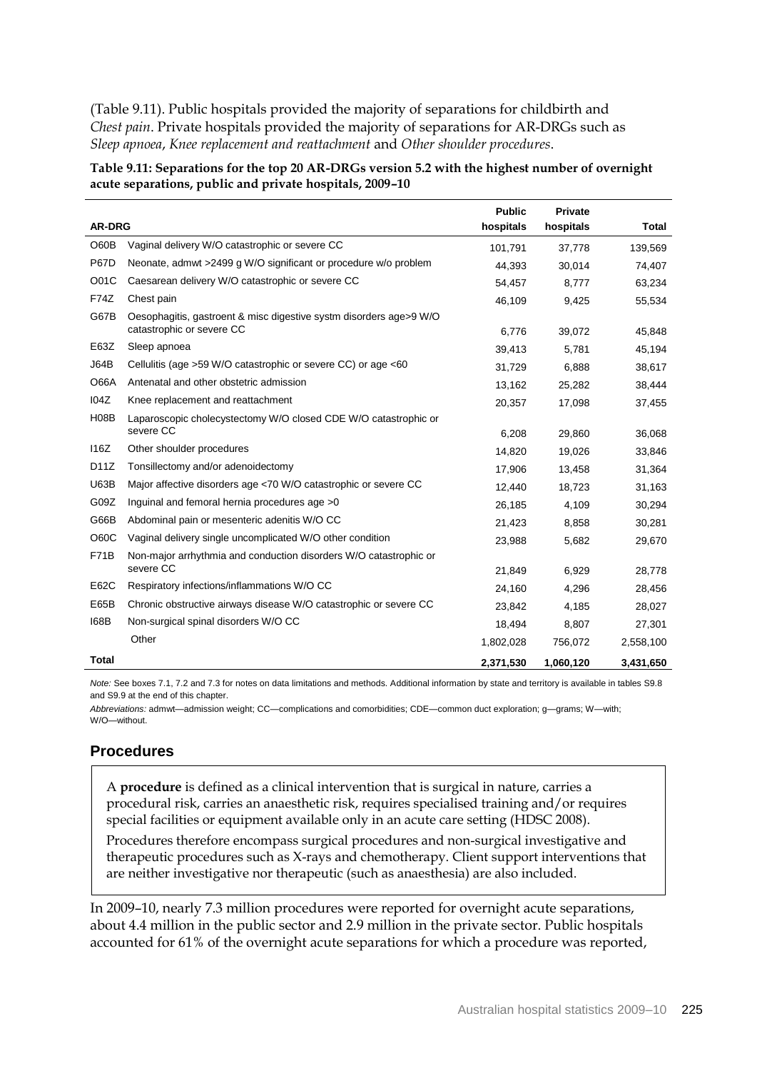(Table 9.11). Public hospitals provided the majority of separations for childbirth and *Chest pain*. Private hospitals provided the majority of separations for AR-DRGs such as *Sleep apnoea*, *Knee replacement and reattachment* and *Other shoulder procedures*.

**Table 9.11: Separations for the top 20 AR-DRGs version 5.2 with the highest number of overnight acute separations, public and private hospitals, 2009–10** 

|                   |                                                                                                 | <b>Public</b> | Private   |              |
|-------------------|-------------------------------------------------------------------------------------------------|---------------|-----------|--------------|
| <b>AR-DRG</b>     |                                                                                                 | hospitals     | hospitals | <b>Total</b> |
| O60B              | Vaginal delivery W/O catastrophic or severe CC                                                  | 101,791       | 37,778    | 139,569      |
| <b>P67D</b>       | Neonate, admwt >2499 g W/O significant or procedure w/o problem                                 | 44,393        | 30,014    | 74,407       |
| O <sub>0</sub> 1C | Caesarean delivery W/O catastrophic or severe CC                                                | 54,457        | 8,777     | 63,234       |
| F74Z              | Chest pain                                                                                      | 46,109        | 9,425     | 55,534       |
| G67B              | Oesophagitis, gastroent & misc digestive systm disorders age>9 W/O<br>catastrophic or severe CC | 6,776         | 39,072    | 45,848       |
| E63Z              | Sleep apnoea                                                                                    | 39,413        | 5,781     | 45,194       |
| <b>J64B</b>       | Cellulitis (age >59 W/O catastrophic or severe CC) or age <60                                   | 31,729        | 6,888     | 38,617       |
| <b>O66A</b>       | Antenatal and other obstetric admission                                                         | 13,162        | 25,282    | 38,444       |
| 104Z              | Knee replacement and reattachment                                                               | 20,357        | 17,098    | 37,455       |
| <b>H08B</b>       | Laparoscopic cholecystectomy W/O closed CDE W/O catastrophic or                                 |               |           |              |
|                   | severe CC                                                                                       | 6,208         | 29,860    | 36,068       |
| 116Z              | Other shoulder procedures                                                                       | 14,820        | 19,026    | 33,846       |
| D11Z              | Tonsillectomy and/or adenoidectomy                                                              | 17,906        | 13,458    | 31,364       |
| <b>U63B</b>       | Major affective disorders age <70 W/O catastrophic or severe CC                                 | 12,440        | 18,723    | 31,163       |
| G09Z              | Inguinal and femoral hernia procedures age >0                                                   | 26,185        | 4,109     | 30,294       |
| G66B              | Abdominal pain or mesenteric adenitis W/O CC                                                    | 21,423        | 8,858     | 30,281       |
| O60C              | Vaginal delivery single uncomplicated W/O other condition                                       | 23,988        | 5,682     | 29,670       |
| <b>F71B</b>       | Non-major arrhythmia and conduction disorders W/O catastrophic or                               |               |           |              |
|                   | severe CC                                                                                       | 21,849        | 6,929     | 28,778       |
| E62C              | Respiratory infections/inflammations W/O CC                                                     | 24,160        | 4,296     | 28,456       |
| E65B              | Chronic obstructive airways disease W/O catastrophic or severe CC                               | 23,842        | 4,185     | 28,027       |
| 168B              | Non-surgical spinal disorders W/O CC                                                            | 18,494        | 8,807     | 27,301       |
|                   | Other                                                                                           | 1,802,028     | 756,072   | 2,558,100    |
| Total             |                                                                                                 | 2,371,530     | 1,060,120 | 3,431,650    |

*Note:* See boxes 7.1, 7.2 and 7.3 for notes on data limitations and methods. Additional information by state and territory is available in tables S9.8 and S9.9 at the end of this chapter.

*Abbreviations:* admwt—admission weight; CC—complications and comorbidities; CDE—common duct exploration; g—grams; W—with; W/O—without.

#### **Procedures**

A **procedure** is defined as a clinical intervention that is surgical in nature, carries a procedural risk, carries an anaesthetic risk, requires specialised training and/or requires special facilities or equipment available only in an acute care setting (HDSC 2008).

Procedures therefore encompass surgical procedures and non-surgical investigative and therapeutic procedures such as X-rays and chemotherapy. Client support interventions that are neither investigative nor therapeutic (such as anaesthesia) are also included.

In 2009–10, nearly 7.3 million procedures were reported for overnight acute separations, about 4.4 million in the public sector and 2.9 million in the private sector. Public hospitals accounted for 61% of the overnight acute separations for which a procedure was reported,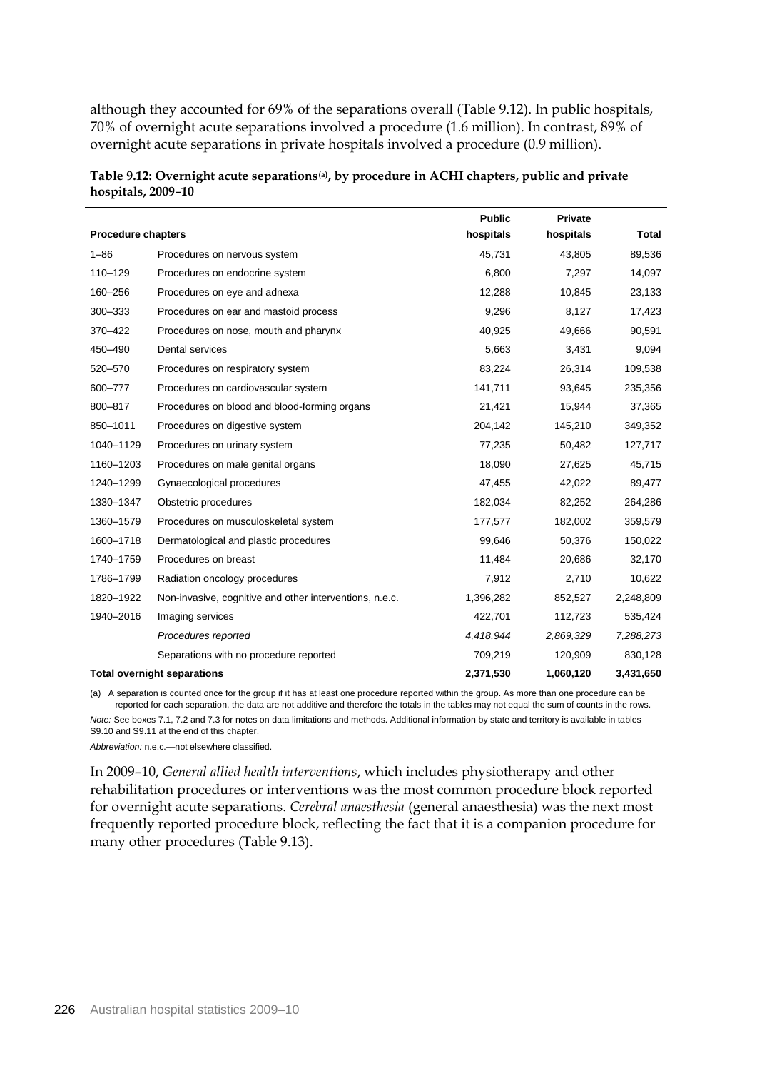although they accounted for 69% of the separations overall (Table 9.12). In public hospitals, 70% of overnight acute separations involved a procedure (1.6 million). In contrast, 89% of overnight acute separations in private hospitals involved a procedure (0.9 million).

|                           |                                                         | <b>Public</b> | <b>Private</b> |              |
|---------------------------|---------------------------------------------------------|---------------|----------------|--------------|
| <b>Procedure chapters</b> |                                                         | hospitals     | hospitals      | <b>Total</b> |
| $1 - 86$                  | Procedures on nervous system                            | 45,731        | 43,805         | 89,536       |
| 110-129                   | Procedures on endocrine system                          | 6,800         | 7,297          | 14,097       |
| 160-256                   | Procedures on eye and adnexa                            | 12,288        | 10,845         | 23,133       |
| 300-333                   | Procedures on ear and mastoid process                   | 9,296         | 8,127          | 17,423       |
| 370-422                   | Procedures on nose, mouth and pharynx                   | 40,925        | 49,666         | 90,591       |
| 450-490                   | Dental services                                         | 5,663         | 3,431          | 9,094        |
| 520-570                   | Procedures on respiratory system                        | 83,224        | 26,314         | 109,538      |
| 600-777                   | Procedures on cardiovascular system                     | 141,711       | 93,645         | 235,356      |
| 800-817                   | Procedures on blood and blood-forming organs            | 21,421        | 15,944         | 37,365       |
| 850-1011                  | Procedures on digestive system                          | 204,142       | 145,210        | 349,352      |
| 1040-1129                 | Procedures on urinary system                            | 77,235        | 50,482         | 127,717      |
| 1160-1203                 | Procedures on male genital organs                       | 18,090        | 27,625         | 45,715       |
| 1240-1299                 | Gynaecological procedures                               | 47,455        | 42,022         | 89,477       |
| 1330-1347                 | Obstetric procedures                                    | 182,034       | 82,252         | 264,286      |
| 1360-1579                 | Procedures on musculoskeletal system                    | 177,577       | 182,002        | 359,579      |
| 1600-1718                 | Dermatological and plastic procedures                   | 99,646        | 50,376         | 150,022      |
| 1740-1759                 | Procedures on breast                                    | 11,484        | 20,686         | 32,170       |
| 1786-1799                 | Radiation oncology procedures                           | 7,912         | 2,710          | 10,622       |
| 1820-1922                 | Non-invasive, cognitive and other interventions, n.e.c. | 1,396,282     | 852,527        | 2,248,809    |
| 1940-2016                 | Imaging services                                        | 422,701       | 112,723        | 535,424      |
|                           | Procedures reported                                     | 4,418,944     | 2,869,329      | 7,288,273    |
|                           | Separations with no procedure reported                  | 709,219       | 120,909        | 830,128      |
|                           | <b>Total overnight separations</b>                      | 2,371,530     | 1,060,120      | 3,431,650    |

| Table 9.12: Overnight acute separations <sup>(a)</sup> , by procedure in ACHI chapters, public and private |  |
|------------------------------------------------------------------------------------------------------------|--|
| hospitals, 2009–10                                                                                         |  |

(a) A separation is counted once for the group if it has at least one procedure reported within the group. As more than one procedure can be reported for each separation, the data are not additive and therefore the totals in the tables may not equal the sum of counts in the rows.

*Note:* See boxes 7.1, 7.2 and 7.3 for notes on data limitations and methods. Additional information by state and territory is available in tables S9.10 and S9.11 at the end of this chapter.

*Abbreviation:* n.e.c.—not elsewhere classified.

In 2009–10, *General allied health interventions*, which includes physiotherapy and other rehabilitation procedures or interventions was the most common procedure block reported for overnight acute separations. *Cerebral anaesthesia* (general anaesthesia) was the next most frequently reported procedure block, reflecting the fact that it is a companion procedure for many other procedures (Table 9.13).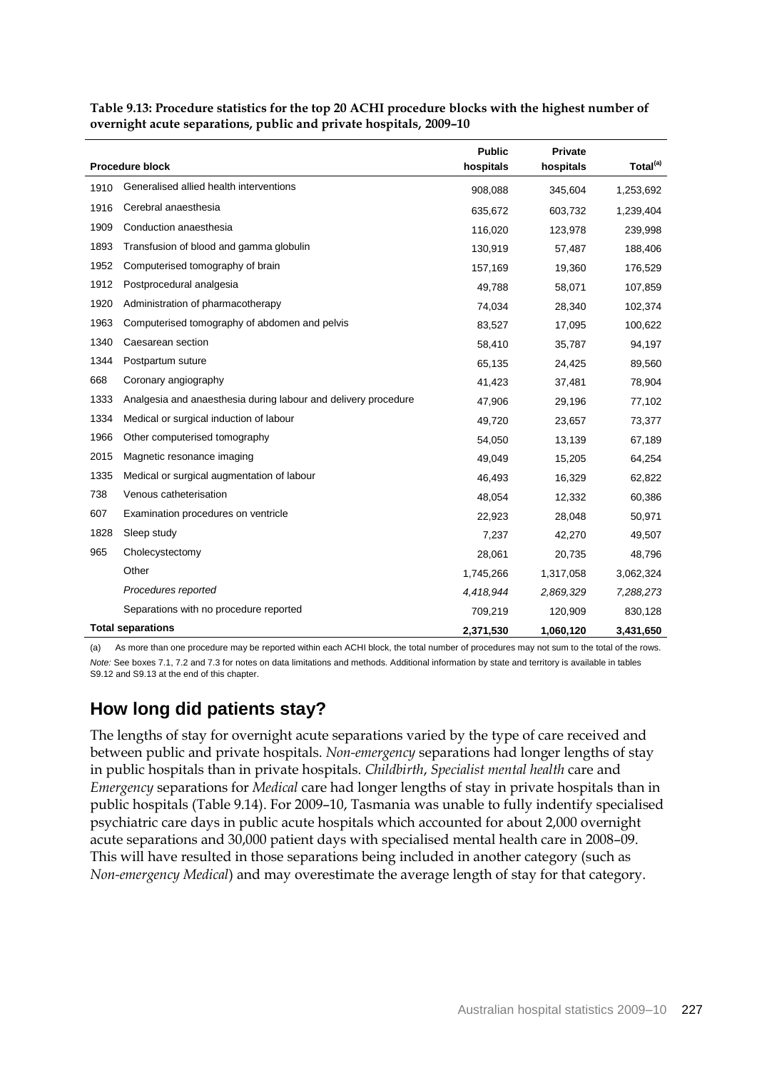|      |                                                                | <b>Public</b> | <b>Private</b> |                      |
|------|----------------------------------------------------------------|---------------|----------------|----------------------|
|      | <b>Procedure block</b>                                         | hospitals     | hospitals      | Total <sup>(a)</sup> |
| 1910 | Generalised allied health interventions                        | 908,088       | 345,604        | 1,253,692            |
| 1916 | Cerebral anaesthesia                                           | 635,672       | 603,732        | 1,239,404            |
| 1909 | Conduction anaesthesia                                         | 116,020       | 123,978        | 239,998              |
| 1893 | Transfusion of blood and gamma globulin                        | 130,919       | 57,487         | 188,406              |
| 1952 | Computerised tomography of brain                               | 157,169       | 19,360         | 176,529              |
| 1912 | Postprocedural analgesia                                       | 49,788        | 58,071         | 107,859              |
| 1920 | Administration of pharmacotherapy                              | 74,034        | 28,340         | 102,374              |
| 1963 | Computerised tomography of abdomen and pelvis                  | 83,527        | 17,095         | 100,622              |
| 1340 | Caesarean section                                              | 58,410        | 35,787         | 94,197               |
| 1344 | Postpartum suture                                              | 65,135        | 24,425         | 89,560               |
| 668  | Coronary angiography                                           | 41,423        | 37,481         | 78,904               |
| 1333 | Analgesia and anaesthesia during labour and delivery procedure | 47,906        | 29,196         | 77,102               |
| 1334 | Medical or surgical induction of labour                        | 49,720        | 23,657         | 73,377               |
| 1966 | Other computerised tomography                                  | 54,050        | 13,139         | 67,189               |
| 2015 | Magnetic resonance imaging                                     | 49,049        | 15,205         | 64,254               |
| 1335 | Medical or surgical augmentation of labour                     | 46,493        | 16,329         | 62,822               |
| 738  | Venous catheterisation                                         | 48,054        | 12,332         | 60,386               |
| 607  | Examination procedures on ventricle                            | 22,923        | 28,048         | 50,971               |
| 1828 | Sleep study                                                    | 7,237         | 42,270         | 49,507               |
| 965  | Cholecystectomy                                                | 28,061        | 20,735         | 48,796               |
|      | Other                                                          | 1,745,266     | 1,317,058      | 3,062,324            |
|      | Procedures reported                                            | 4,418,944     | 2,869,329      | 7,288,273            |
|      | Separations with no procedure reported                         | 709,219       | 120,909        | 830,128              |
|      | <b>Total separations</b>                                       | 2,371,530     | 1,060,120      | 3,431,650            |

**Table 9.13: Procedure statistics for the top 20 ACHI procedure blocks with the highest number of overnight acute separations, public and private hospitals, 2009–10** 

(a) As more than one procedure may be reported within each ACHI block, the total number of procedures may not sum to the total of the rows. *Note:* See boxes 7.1, 7.2 and 7.3 for notes on data limitations and methods. Additional information by state and territory is available in tables S9.12 and S9.13 at the end of this chapter.

# **How long did patients stay?**

The lengths of stay for overnight acute separations varied by the type of care received and between public and private hospitals. *Non-emergency* separations had longer lengths of stay in public hospitals than in private hospitals. *Childbirth*, *Specialist mental health* care and *Emergency* separations for *Medical* care had longer lengths of stay in private hospitals than in public hospitals (Table 9.14). For 2009–10, Tasmania was unable to fully indentify specialised psychiatric care days in public acute hospitals which accounted for about 2,000 overnight acute separations and 30,000 patient days with specialised mental health care in 2008–09. This will have resulted in those separations being included in another category (such as *Non-emergency Medical*) and may overestimate the average length of stay for that category.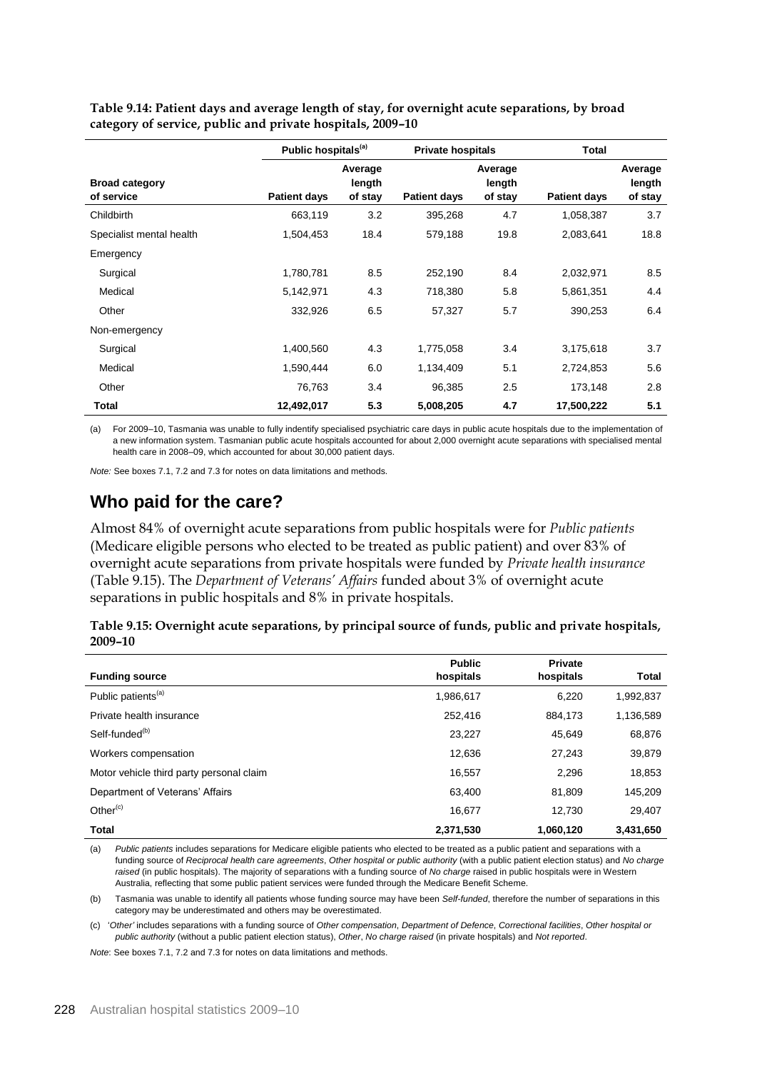**Table 9.14: Patient days and average length of stay, for overnight acute separations, by broad category of service, public and private hospitals, 2009–10**

|                                     | Public hospitals <sup>(a)</sup> |                              | <b>Private hospitals</b> |                              | <b>Total</b>        |                              |
|-------------------------------------|---------------------------------|------------------------------|--------------------------|------------------------------|---------------------|------------------------------|
| <b>Broad category</b><br>of service | <b>Patient days</b>             | Average<br>length<br>of stay | <b>Patient days</b>      | Average<br>length<br>of stay | <b>Patient days</b> | Average<br>length<br>of stay |
| Childbirth                          | 663,119                         | 3.2                          | 395,268                  | 4.7                          | 1,058,387           | 3.7                          |
| Specialist mental health            | 1,504,453                       | 18.4                         | 579,188                  | 19.8                         | 2,083,641           | 18.8                         |
| Emergency                           |                                 |                              |                          |                              |                     |                              |
| Surgical                            | 1,780,781                       | 8.5                          | 252,190                  | 8.4                          | 2,032,971           | 8.5                          |
| Medical                             | 5,142,971                       | 4.3                          | 718,380                  | 5.8                          | 5,861,351           | 4.4                          |
| Other                               | 332,926                         | 6.5                          | 57,327                   | 5.7                          | 390,253             | 6.4                          |
| Non-emergency                       |                                 |                              |                          |                              |                     |                              |
| Surgical                            | 1,400,560                       | 4.3                          | 1,775,058                | 3.4                          | 3,175,618           | 3.7                          |
| Medical                             | 1,590,444                       | 6.0                          | 1,134,409                | 5.1                          | 2,724,853           | 5.6                          |
| Other                               | 76,763                          | 3.4                          | 96,385                   | 2.5                          | 173,148             | 2.8                          |
| Total                               | 12,492,017                      | 5.3                          | 5,008,205                | 4.7                          | 17,500,222          | 5.1                          |

(a) For 2009–10, Tasmania was unable to fully indentify specialised psychiatric care days in public acute hospitals due to the implementation of a new information system. Tasmanian public acute hospitals accounted for about 2,000 overnight acute separations with specialised mental health care in 2008–09, which accounted for about 30,000 patient days.

*Note:* See boxes 7.1, 7.2 and 7.3 for notes on data limitations and methods.

## **Who paid for the care?**

Almost 84% of overnight acute separations from public hospitals were for *Public patients* (Medicare eligible persons who elected to be treated as public patient) and over 83% of overnight acute separations from private hospitals were funded by *Private health insurance*  (Table 9.15). The *Department of Veterans' Affairs* funded about 3% of overnight acute separations in public hospitals and 8% in private hospitals.

| Table 9.15: Overnight acute separations, by principal source of funds, public and private hospitals, |  |  |  |
|------------------------------------------------------------------------------------------------------|--|--|--|
| 2009-10                                                                                              |  |  |  |

|                                          | <b>Public</b> | Private   |              |
|------------------------------------------|---------------|-----------|--------------|
| <b>Funding source</b>                    | hospitals     | hospitals | <b>Total</b> |
| Public patients <sup>(a)</sup>           | 1,986,617     | 6,220     | 1,992,837    |
| Private health insurance                 | 252,416       | 884,173   | 1,136,589    |
| Self-funded <sup>(b)</sup>               | 23,227        | 45.649    | 68,876       |
| Workers compensation                     | 12,636        | 27,243    | 39,879       |
| Motor vehicle third party personal claim | 16,557        | 2,296     | 18,853       |
| Department of Veterans' Affairs          | 63.400        | 81.809    | 145,209      |
| Other $(c)$                              | 16.677        | 12.730    | 29,407       |
| Total                                    | 2,371,530     | 1,060,120 | 3,431,650    |

(a) *Public patients* includes separations for Medicare eligible patients who elected to be treated as a public patient and separations with a funding source of *Reciprocal health care agreements*, *Other hospital or public authority* (with a public patient election status) and *No charge raised* (in public hospitals). The majority of separations with a funding source of *No charge* raised in public hospitals were in Western Australia, reflecting that some public patient services were funded through the Medicare Benefit Scheme.

(b) Tasmania was unable to identify all patients whose funding source may have been *Self-funded*, therefore the number of separations in this category may be underestimated and others may be overestimated.

(c) '*Other'* includes separations with a funding source of *Other compensation*, *Department of Defence*, *Correctional facilities*, *Other hospital or public authority* (without a public patient election status), *Other*, *No charge raised* (in private hospitals) and *Not reported*.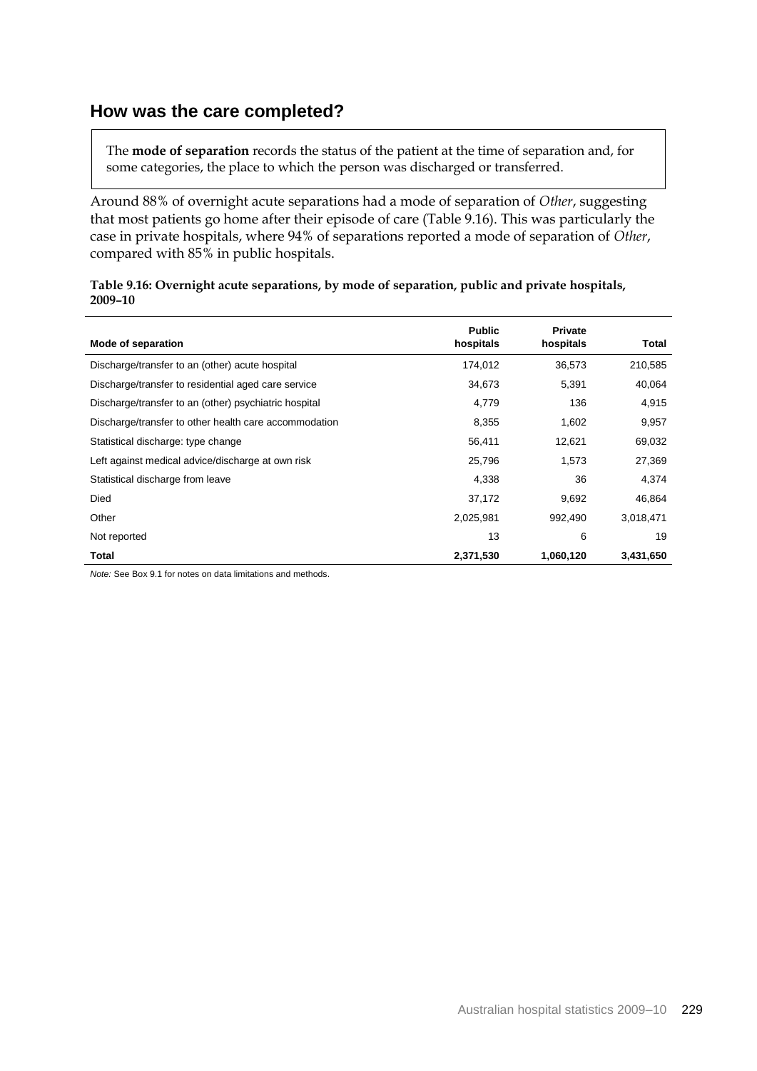## **How was the care completed?**

The **mode of separation** records the status of the patient at the time of separation and, for some categories, the place to which the person was discharged or transferred.

Around 88% of overnight acute separations had a mode of separation of *Other*, suggesting that most patients go home after their episode of care (Table 9.16). This was particularly the case in private hospitals, where 94% of separations reported a mode of separation of *Other*, compared with 85% in public hospitals.

| Table 9.16: Overnight acute separations, by mode of separation, public and private hospitals, |
|-----------------------------------------------------------------------------------------------|
| 2009-10                                                                                       |

| Mode of separation                                    | <b>Public</b><br>hospitals | <b>Private</b><br>hospitals | Total     |
|-------------------------------------------------------|----------------------------|-----------------------------|-----------|
| Discharge/transfer to an (other) acute hospital       | 174,012                    | 36,573                      | 210,585   |
| Discharge/transfer to residential aged care service   | 34,673                     | 5,391                       | 40,064    |
| Discharge/transfer to an (other) psychiatric hospital | 4,779                      | 136                         | 4,915     |
| Discharge/transfer to other health care accommodation | 8,355                      | 1,602                       | 9,957     |
| Statistical discharge: type change                    | 56,411                     | 12,621                      | 69,032    |
| Left against medical advice/discharge at own risk     | 25,796                     | 1.573                       | 27,369    |
| Statistical discharge from leave                      | 4,338                      | 36                          | 4,374     |
| Died                                                  | 37,172                     | 9,692                       | 46,864    |
| Other                                                 | 2,025,981                  | 992,490                     | 3,018,471 |
| Not reported                                          | 13                         | 6                           | 19        |
| Total                                                 | 2,371,530                  | 1,060,120                   | 3,431,650 |

*Note:* See Box 9.1 for notes on data limitations and methods.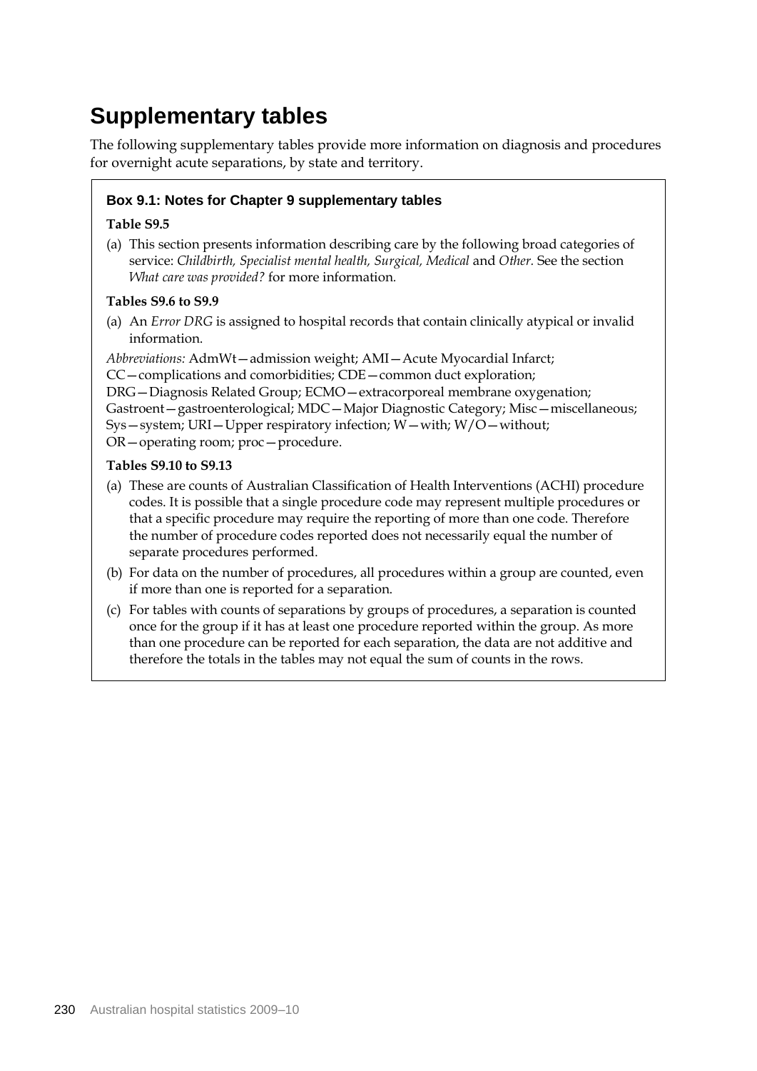# **Supplementary tables**

The following supplementary tables provide more information on diagnosis and procedures for overnight acute separations, by state and territory.

## **Box 9.1: Notes for Chapter 9 supplementary tables**

#### **Table S9.5**

(a) This section presents information describing care by the following broad categories of service: *Childbirth, Specialist mental health, Surgical, Medical* and *Other.* See the section *What care was provided?* for more information*.*

#### **Tables S9.6 to S9.9**

(a) An *Error DRG* is assigned to hospital records that contain clinically atypical or invalid information.

*Abbreviations:* AdmWt—admission weight; AMI—Acute Myocardial Infarct; CC—complications and comorbidities; CDE—common duct exploration; DRG—Diagnosis Related Group; ECMO—extracorporeal membrane oxygenation; Gastroent—gastroenterological; MDC—Major Diagnostic Category; Misc—miscellaneous; Sys—system; URI—Upper respiratory infection; W—with; W/O—without; OR—operating room; proc—procedure.

#### **Tables S9.10 to S9.13**

- (a) These are counts of Australian Classification of Health Interventions (ACHI) procedure codes. It is possible that a single procedure code may represent multiple procedures or that a specific procedure may require the reporting of more than one code. Therefore the number of procedure codes reported does not necessarily equal the number of separate procedures performed.
- (b) For data on the number of procedures, all procedures within a group are counted, even if more than one is reported for a separation.
- (c) For tables with counts of separations by groups of procedures, a separation is counted once for the group if it has at least one procedure reported within the group. As more than one procedure can be reported for each separation, the data are not additive and therefore the totals in the tables may not equal the sum of counts in the rows.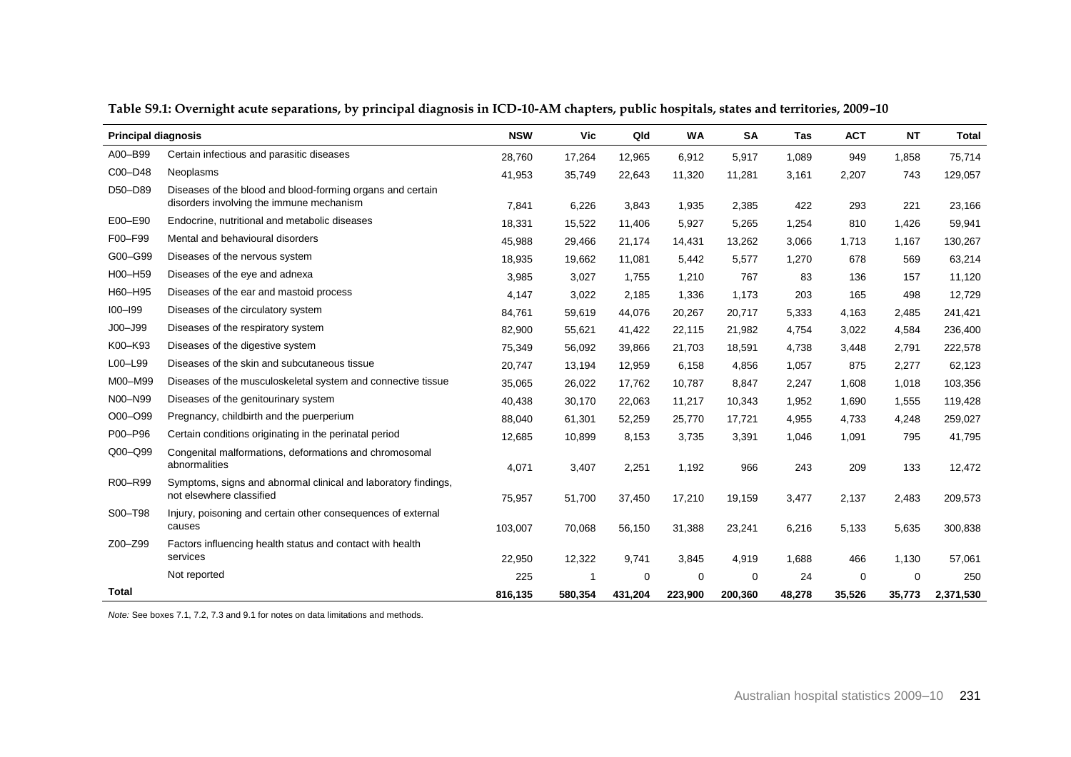| <b>Principal diagnosis</b> |                                                                                                        | <b>NSW</b> | Vic     | Qld     | <b>WA</b>   | <b>SA</b> | Tas    | <b>ACT</b> | <b>NT</b> | <b>Total</b> |
|----------------------------|--------------------------------------------------------------------------------------------------------|------------|---------|---------|-------------|-----------|--------|------------|-----------|--------------|
| A00-B99                    | Certain infectious and parasitic diseases                                                              | 28,760     | 17,264  | 12,965  | 6,912       | 5,917     | 1,089  | 949        | 1,858     | 75,714       |
| C00-D48                    | <b>Neoplasms</b>                                                                                       | 41,953     | 35,749  | 22,643  | 11,320      | 11,281    | 3,161  | 2,207      | 743       | 129,057      |
| D50-D89                    | Diseases of the blood and blood-forming organs and certain<br>disorders involving the immune mechanism | 7,841      | 6,226   | 3,843   | 1,935       | 2,385     | 422    | 293        | 221       | 23,166       |
| E00-E90                    | Endocrine, nutritional and metabolic diseases                                                          | 18,331     | 15,522  | 11,406  | 5,927       | 5,265     | 1,254  | 810        | 1,426     | 59,941       |
| F00-F99                    | Mental and behavioural disorders                                                                       | 45,988     | 29,466  | 21,174  | 14,431      | 13,262    | 3,066  | 1,713      | 1,167     | 130,267      |
| G00-G99                    | Diseases of the nervous system                                                                         | 18,935     | 19,662  | 11,081  | 5,442       | 5,577     | 1,270  | 678        | 569       | 63,214       |
| H00-H59                    | Diseases of the eye and adnexa                                                                         | 3,985      |         |         | 1,210       | 767       | 83     | 136        | 157       | 11,120       |
| H60-H95                    | Diseases of the ear and mastoid process                                                                |            | 3,027   | 1,755   |             |           |        |            |           |              |
| $100 - 199$                | Diseases of the circulatory system                                                                     | 4,147      | 3,022   | 2,185   | 1,336       | 1,173     | 203    | 165        | 498       | 12,729       |
| $JOO - J99$                | Diseases of the respiratory system                                                                     | 84,761     | 59,619  | 44,076  | 20,267      | 20,717    | 5,333  | 4,163      | 2,485     | 241,421      |
| K00-K93                    | Diseases of the digestive system                                                                       | 82,900     | 55,621  | 41,422  | 22,115      | 21,982    | 4,754  | 3,022      | 4,584     | 236,400      |
|                            |                                                                                                        | 75,349     | 56,092  | 39,866  | 21,703      | 18,591    | 4,738  | 3,448      | 2,791     | 222,578      |
| L00-L99                    | Diseases of the skin and subcutaneous tissue                                                           | 20,747     | 13,194  | 12,959  | 6,158       | 4,856     | 1,057  | 875        | 2,277     | 62,123       |
| M00-M99                    | Diseases of the musculoskeletal system and connective tissue                                           | 35,065     | 26,022  | 17,762  | 10,787      | 8,847     | 2,247  | 1,608      | 1,018     | 103,356      |
| N00-N99                    | Diseases of the genitourinary system                                                                   | 40,438     | 30,170  | 22,063  | 11,217      | 10,343    | 1,952  | 1,690      | 1,555     | 119,428      |
| O00-O99                    | Pregnancy, childbirth and the puerperium                                                               | 88,040     | 61,301  | 52,259  | 25,770      | 17,721    | 4,955  | 4,733      | 4,248     | 259,027      |
| P00-P96                    | Certain conditions originating in the perinatal period                                                 | 12,685     | 10,899  | 8,153   | 3,735       | 3,391     | 1,046  | 1,091      | 795       | 41,795       |
| Q00-Q99                    | Congenital malformations, deformations and chromosomal<br>abnormalities                                | 4,071      | 3,407   | 2,251   | 1,192       | 966       | 243    | 209        | 133       | 12,472       |
| R00-R99                    | Symptoms, signs and abnormal clinical and laboratory findings,<br>not elsewhere classified             | 75,957     | 51,700  | 37,450  | 17,210      | 19,159    | 3,477  | 2,137      | 2,483     | 209,573      |
| S00-T98                    | Injury, poisoning and certain other consequences of external<br>causes                                 | 103,007    | 70,068  | 56,150  | 31,388      | 23,241    | 6,216  | 5,133      | 5,635     | 300,838      |
| Z00-Z99                    | Factors influencing health status and contact with health                                              |            |         |         |             |           |        |            |           |              |
|                            | services                                                                                               | 22,950     | 12,322  | 9,741   | 3,845       | 4,919     | 1,688  | 466        | 1,130     | 57,061       |
|                            | Not reported                                                                                           | 225        |         | 0       | $\mathbf 0$ | $\Omega$  | 24     | 0          | $\Omega$  | 250          |
| Total                      |                                                                                                        | 816.135    | 580.354 | 431,204 | 223.900     | 200.360   | 48,278 | 35,526     | 35,773    | 2,371,530    |

**Table S9.1: Overnight acute separations, by principal diagnosis in ICD-10-AM chapters, public hospitals, states and territories, 2009–10**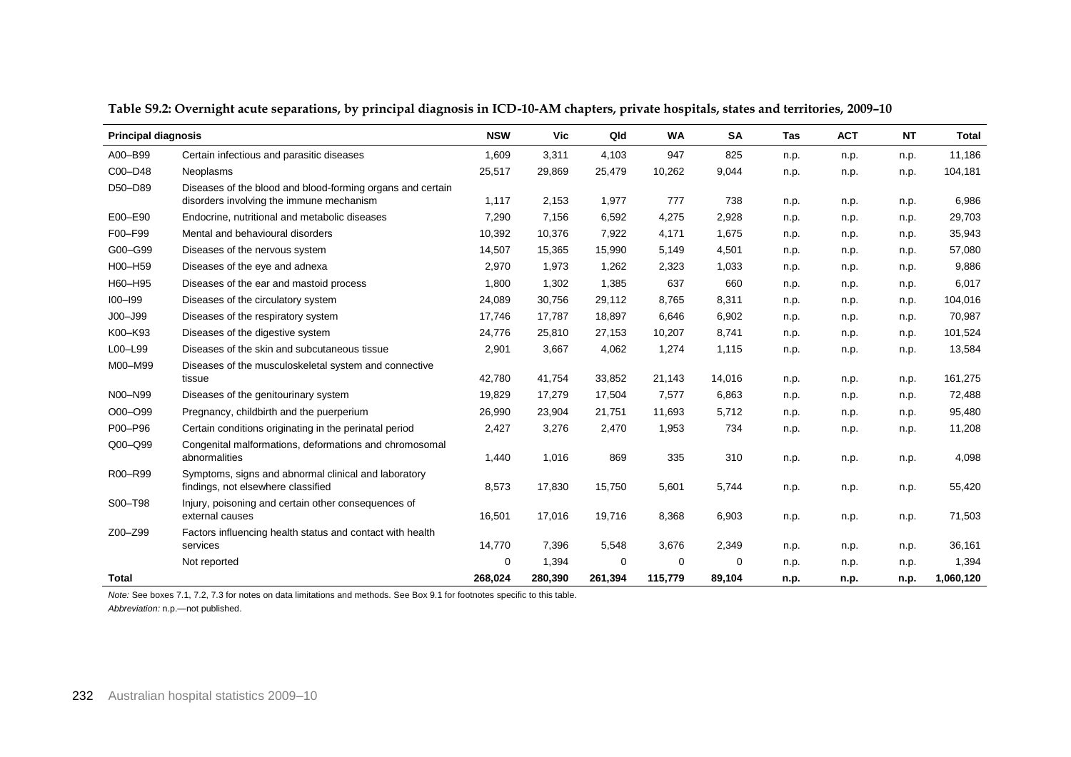| <b>Principal diagnosis</b> |                                                                                                        | <b>NSW</b> | <b>Vic</b> | Qld      | <b>WA</b> | <b>SA</b> | <b>Tas</b> | <b>ACT</b> | <b>NT</b> | <b>Total</b> |
|----------------------------|--------------------------------------------------------------------------------------------------------|------------|------------|----------|-----------|-----------|------------|------------|-----------|--------------|
| A00-B99                    | Certain infectious and parasitic diseases                                                              | 1,609      | 3,311      | 4,103    | 947       | 825       | n.p.       | n.p.       | n.p.      | 11,186       |
| C00-D48                    | Neoplasms                                                                                              | 25,517     | 29,869     | 25,479   | 10,262    | 9,044     | n.p.       | n.p.       | n.p.      | 104,181      |
| D50-D89                    | Diseases of the blood and blood-forming organs and certain<br>disorders involving the immune mechanism | 1,117      | 2,153      | 1,977    | 777       | 738       | n.p.       | n.p.       | n.p.      | 6,986        |
| E00-E90                    | Endocrine, nutritional and metabolic diseases                                                          | 7,290      | 7,156      | 6,592    | 4,275     | 2,928     | n.p.       | n.p.       | n.p.      | 29,703       |
| F00-F99                    | Mental and behavioural disorders                                                                       | 10,392     | 10,376     | 7,922    | 4,171     | 1,675     | n.p.       | n.p.       | n.p.      | 35,943       |
| G00-G99                    | Diseases of the nervous system                                                                         | 14,507     | 15,365     | 15,990   | 5,149     | 4,501     | n.p.       | n.p.       | n.p.      | 57,080       |
| H00-H59                    | Diseases of the eye and adnexa                                                                         | 2,970      | 1,973      | 1,262    | 2,323     | 1,033     | n.p.       | n.p.       | n.p.      | 9,886        |
| H60-H95                    | Diseases of the ear and mastoid process                                                                | 1,800      | 1,302      | 1,385    | 637       | 660       | n.p.       | n.p.       | n.p.      | 6,017        |
| $IO0 - I99$                | Diseases of the circulatory system                                                                     | 24,089     | 30,756     | 29,112   | 8,765     | 8,311     | n.p.       | n.p.       | n.p.      | 104,016      |
| $JOO - J99$                | Diseases of the respiratory system                                                                     | 17,746     | 17,787     | 18,897   | 6,646     | 6,902     | n.p.       | n.p.       | n.p.      | 70,987       |
| K00-K93                    | Diseases of the digestive system                                                                       | 24,776     | 25,810     | 27,153   | 10,207    | 8,741     | n.p.       | n.p.       | n.p.      | 101,524      |
| L00-L99                    | Diseases of the skin and subcutaneous tissue                                                           | 2,901      | 3,667      | 4,062    | 1,274     | 1,115     | n.p.       | n.p.       | n.p.      | 13,584       |
| M00-M99                    | Diseases of the musculoskeletal system and connective<br>tissue                                        | 42,780     | 41,754     | 33,852   | 21,143    | 14,016    | n.p.       | n.p.       | n.p.      | 161,275      |
| N00-N99                    | Diseases of the genitourinary system                                                                   | 19,829     | 17,279     | 17,504   | 7,577     | 6,863     | n.p.       | n.p.       | n.p.      | 72,488       |
| O00-O99                    | Pregnancy, childbirth and the puerperium                                                               | 26,990     | 23,904     | 21,751   | 11,693    | 5,712     | n.p.       | n.p.       | n.p.      | 95,480       |
| P00-P96                    | Certain conditions originating in the perinatal period                                                 | 2,427      | 3,276      | 2,470    | 1,953     | 734       | n.p.       | n.p.       | n.p.      | 11,208       |
| Q00-Q99                    | Congenital malformations, deformations and chromosomal<br>abnormalities                                | 1,440      | 1,016      | 869      | 335       | 310       | n.p.       | n.p.       | n.p.      | 4,098        |
| R00-R99                    | Symptoms, signs and abnormal clinical and laboratory<br>findings, not elsewhere classified             | 8,573      | 17,830     | 15,750   | 5,601     | 5,744     | n.p.       | n.p.       | n.p.      | 55,420       |
| S00-T98                    | Injury, poisoning and certain other consequences of<br>external causes                                 | 16,501     | 17,016     | 19,716   | 8,368     | 6,903     | n.p.       | n.p.       | n.p.      | 71,503       |
| Z00-Z99                    | Factors influencing health status and contact with health<br>services                                  | 14,770     | 7,396      | 5,548    | 3,676     | 2,349     | n.p.       | n.p.       | n.p.      | 36,161       |
|                            | Not reported                                                                                           | 0          | 1,394      | $\Omega$ | $\Omega$  | 0         | n.p.       | n.p.       | n.p.      | 1,394        |
| Total                      |                                                                                                        | 268,024    | 280,390    | 261,394  | 115,779   | 89,104    | n.p.       | n.p.       | n.p.      | 1,060,120    |

**Table S9.2: Overnight acute separations, by principal diagnosis in ICD-10-AM chapters, private hospitals, states and territories, 2009–10**

*Note:* See boxes 7.1, 7.2, 7.3 for notes on data limitations and methods. See Box 9.1 for footnotes specific to this table. *Abbreviation:* n.p.—not published.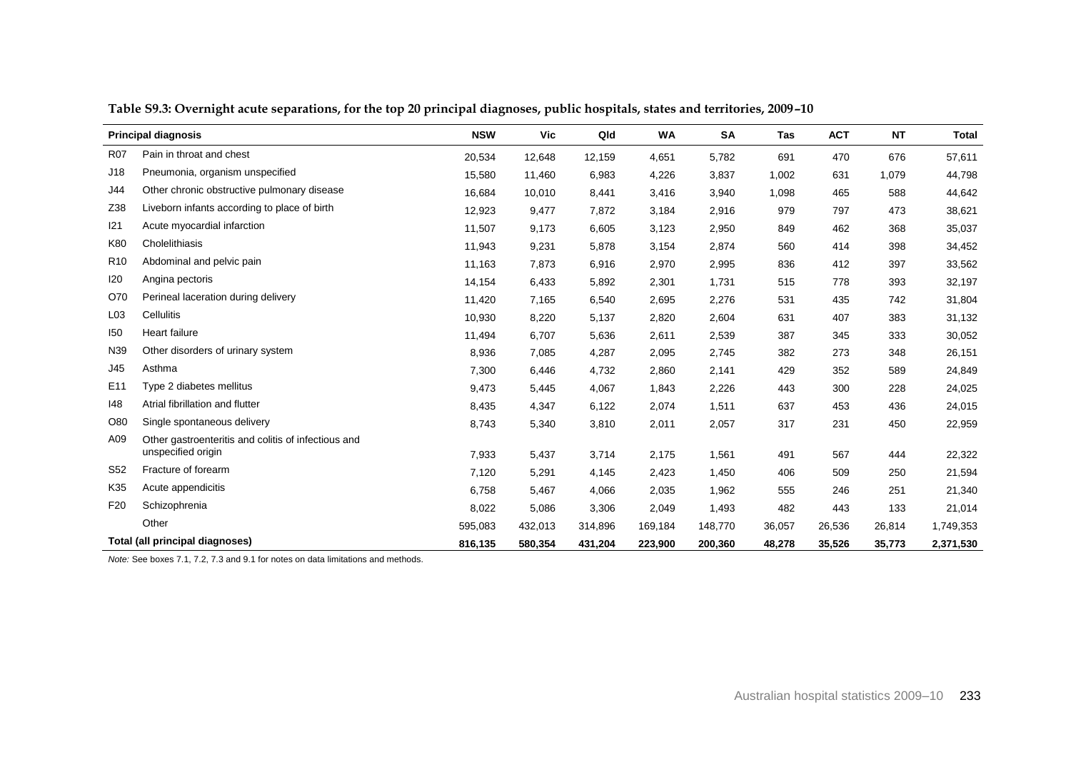|                 | <b>Principal diagnosis</b>                          | <b>NSW</b> | Vic     | Qld     | <b>WA</b> | <b>SA</b> | <b>Tas</b> | <b>ACT</b> | <b>NT</b> | <b>Total</b> |
|-----------------|-----------------------------------------------------|------------|---------|---------|-----------|-----------|------------|------------|-----------|--------------|
| <b>R07</b>      | Pain in throat and chest                            | 20,534     | 12,648  | 12,159  | 4,651     | 5,782     | 691        | 470        | 676       | 57,611       |
| J18             | Pneumonia, organism unspecified                     | 15,580     | 11,460  | 6,983   | 4,226     | 3,837     | 1,002      | 631        | 1,079     | 44,798       |
| J44             | Other chronic obstructive pulmonary disease         | 16,684     | 10,010  | 8,441   | 3,416     | 3,940     | 1,098      | 465        | 588       | 44,642       |
| Z38             | Liveborn infants according to place of birth        | 12,923     | 9,477   | 7,872   | 3,184     | 2,916     | 979        | 797        | 473       | 38,621       |
| 121             | Acute myocardial infarction                         | 11,507     | 9,173   | 6,605   | 3,123     | 2,950     | 849        | 462        | 368       | 35,037       |
| K80             | Cholelithiasis                                      | 11,943     | 9,231   | 5,878   | 3,154     | 2,874     | 560        | 414        | 398       | 34,452       |
| R <sub>10</sub> | Abdominal and pelvic pain                           | 11,163     | 7,873   | 6,916   | 2,970     | 2,995     | 836        | 412        | 397       | 33,562       |
| 120             | Angina pectoris                                     | 14,154     | 6,433   | 5,892   | 2,301     | 1,731     | 515        | 778        | 393       | 32,197       |
| O70             | Perineal laceration during delivery                 | 11,420     | 7,165   | 6,540   | 2,695     | 2,276     | 531        | 435        | 742       | 31,804       |
| L03             | Cellulitis                                          | 10,930     | 8,220   | 5,137   | 2,820     | 2,604     | 631        | 407        | 383       | 31,132       |
| 150             | Heart failure                                       | 11,494     | 6,707   | 5,636   | 2,611     | 2,539     | 387        | 345        | 333       | 30,052       |
| N39             | Other disorders of urinary system                   | 8,936      | 7,085   | 4,287   | 2,095     | 2,745     | 382        | 273        | 348       | 26,151       |
| J45             | Asthma                                              | 7,300      | 6,446   | 4,732   | 2,860     | 2,141     | 429        | 352        | 589       | 24,849       |
| E <sub>11</sub> | Type 2 diabetes mellitus                            | 9,473      | 5,445   | 4,067   | 1,843     | 2,226     | 443        | 300        | 228       | 24,025       |
| 148             | Atrial fibrillation and flutter                     | 8,435      | 4,347   | 6,122   | 2,074     | 1,511     | 637        | 453        | 436       | 24,015       |
| O80             | Single spontaneous delivery                         | 8,743      | 5,340   | 3,810   | 2,011     | 2,057     | 317        | 231        | 450       | 22,959       |
| A09             | Other gastroenteritis and colitis of infectious and |            |         |         |           |           |            |            |           |              |
|                 | unspecified origin                                  | 7,933      | 5,437   | 3,714   | 2,175     | 1,561     | 491        | 567        | 444       | 22,322       |
| S <sub>52</sub> | Fracture of forearm                                 | 7,120      | 5,291   | 4,145   | 2,423     | 1,450     | 406        | 509        | 250       | 21,594       |
| K35             | Acute appendicitis                                  | 6,758      | 5,467   | 4,066   | 2,035     | 1,962     | 555        | 246        | 251       | 21,340       |
| F <sub>20</sub> | Schizophrenia                                       | 8,022      | 5,086   | 3,306   | 2,049     | 1,493     | 482        | 443        | 133       | 21,014       |
|                 | Other                                               | 595,083    | 432,013 | 314,896 | 169,184   | 148,770   | 36,057     | 26,536     | 26,814    | 1,749,353    |
|                 | Total (all principal diagnoses)                     | 816,135    | 580,354 | 431,204 | 223,900   | 200,360   | 48,278     | 35,526     | 35,773    | 2,371,530    |

**Table S9.3: Overnight acute separations, for the top 20 principal diagnoses, public hospitals, states and territories, 2009–10**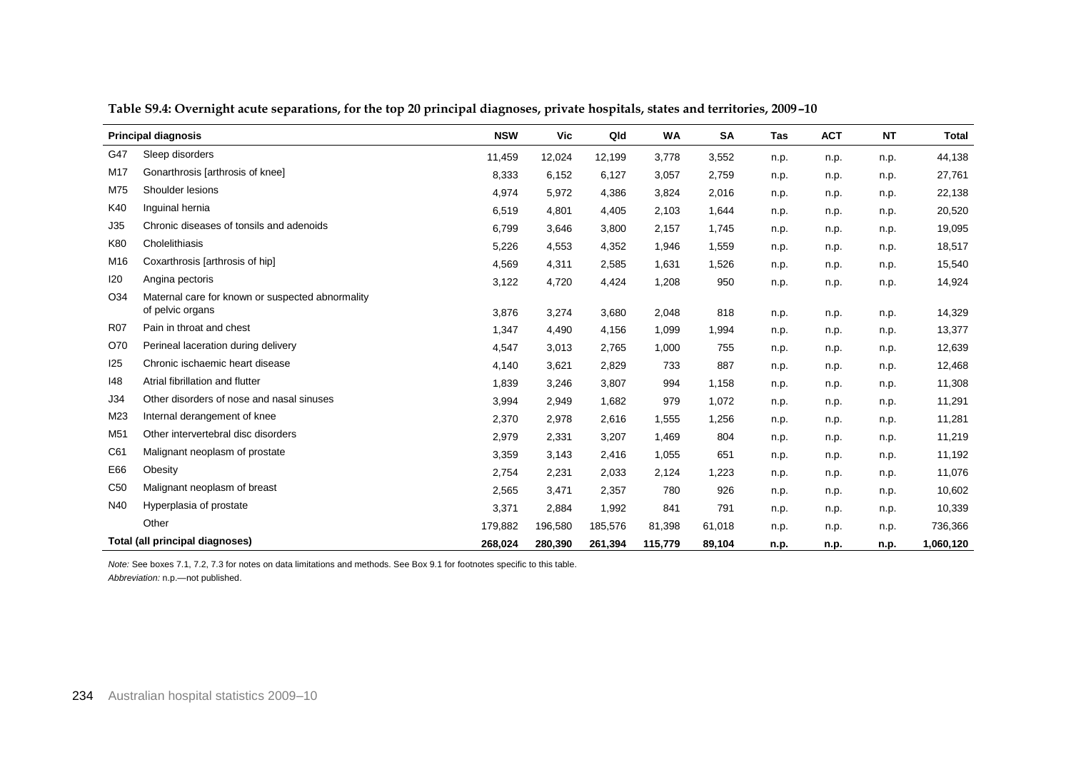|                 | <b>Principal diagnosis</b>                                           | <b>NSW</b> | Vic     | Qld     | <b>WA</b> | SA     | Tas  | <b>ACT</b> | <b>NT</b> | <b>Total</b> |
|-----------------|----------------------------------------------------------------------|------------|---------|---------|-----------|--------|------|------------|-----------|--------------|
| G47             | Sleep disorders                                                      | 11,459     | 12,024  | 12,199  | 3,778     | 3,552  | n.p. | n.p.       | n.p.      | 44,138       |
| M17             | Gonarthrosis [arthrosis of knee]                                     | 8,333      | 6,152   | 6,127   | 3,057     | 2,759  | n.p. | n.p.       | n.p.      | 27,761       |
| M75             | Shoulder lesions                                                     | 4,974      | 5,972   | 4,386   | 3,824     | 2,016  | n.p. | n.p.       | n.p.      | 22,138       |
| K40             | Inquinal hernia                                                      | 6,519      | 4,801   | 4,405   | 2,103     | 1,644  | n.p. | n.p.       | n.p.      | 20,520       |
| J35             | Chronic diseases of tonsils and adenoids                             | 6,799      | 3,646   | 3,800   | 2,157     | 1,745  | n.p. | n.p.       | n.p.      | 19,095       |
| K80             | Cholelithiasis                                                       | 5,226      | 4,553   | 4,352   | 1,946     | 1,559  | n.p. | n.p.       | n.p.      | 18,517       |
| M16             | Coxarthrosis [arthrosis of hip]                                      | 4,569      | 4,311   | 2,585   | 1,631     | 1,526  | n.p. | n.p.       | n.p.      | 15,540       |
| 120             | Angina pectoris                                                      | 3,122      | 4,720   | 4,424   | 1,208     | 950    | n.p. | n.p.       | n.p.      | 14,924       |
| O34             | Maternal care for known or suspected abnormality<br>of pelvic organs | 3,876      | 3,274   | 3,680   | 2,048     | 818    | n.p. | n.p.       | n.p.      | 14,329       |
| <b>R07</b>      | Pain in throat and chest                                             | 1,347      | 4,490   | 4,156   | 1,099     | 1,994  | n.p. | n.p.       | n.p.      | 13,377       |
| O70             | Perineal laceration during delivery                                  | 4,547      | 3,013   | 2,765   | 1,000     | 755    | n.p. | n.p.       | n.p.      | 12,639       |
| 125             | Chronic ischaemic heart disease                                      | 4,140      | 3,621   | 2,829   | 733       | 887    | n.p. | n.p.       | n.p.      | 12,468       |
| 148             | Atrial fibrillation and flutter                                      | 1,839      | 3,246   | 3,807   | 994       | 1,158  | n.p. | n.p.       | n.p.      | 11,308       |
| J34             | Other disorders of nose and nasal sinuses                            | 3,994      | 2,949   | 1,682   | 979       | 1,072  | n.p. | n.p.       | n.p.      | 11,291       |
| M23             | Internal derangement of knee                                         | 2,370      | 2,978   | 2,616   | 1,555     | 1,256  | n.p. | n.p.       | n.p.      | 11,281       |
| M51             | Other intervertebral disc disorders                                  | 2,979      | 2,331   | 3,207   | 1,469     | 804    | n.p. | n.p.       | n.p.      | 11,219       |
| C61             | Malignant neoplasm of prostate                                       | 3,359      | 3,143   | 2,416   | 1,055     | 651    | n.p. | n.p.       | n.p.      | 11,192       |
| E66             | Obesity                                                              | 2,754      | 2,231   | 2,033   | 2,124     | 1,223  | n.p. | n.p.       | n.p.      | 11,076       |
| C <sub>50</sub> | Malignant neoplasm of breast                                         | 2,565      | 3,471   | 2,357   | 780       | 926    | n.p. | n.p.       | n.p.      | 10,602       |
| N40             | Hyperplasia of prostate                                              | 3,371      | 2,884   | 1,992   | 841       | 791    | n.p. | n.p.       | n.p.      | 10,339       |
|                 | Other                                                                | 179,882    | 196,580 | 185,576 | 81,398    | 61,018 | n.p. | n.p.       | n.p.      | 736,366      |
|                 | Total (all principal diagnoses)                                      | 268,024    | 280,390 | 261,394 | 115,779   | 89,104 | n.p. | n.p.       | n.p.      | 1,060,120    |

**Table S9.4: Overnight acute separations, for the top 20 principal diagnoses, private hospitals, states and territories, 2009–10**

*Note:* See boxes 7.1, 7.2, 7.3 for notes on data limitations and methods. See Box 9.1 for footnotes specific to this table. *Abbreviation:* n.p.—not published.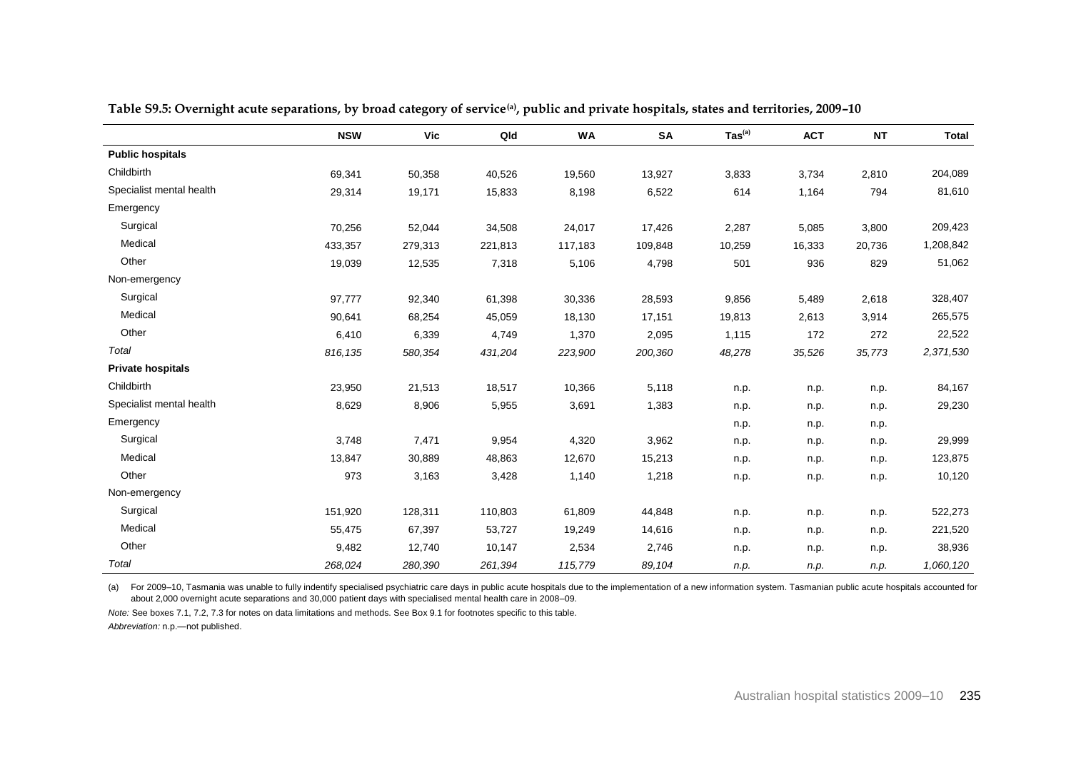|                          | <b>NSW</b> | <b>Vic</b> | Qld     | <b>WA</b> | SA      | $\text{Tas}^{(a)}$ | <b>ACT</b> | <b>NT</b> | <b>Total</b> |
|--------------------------|------------|------------|---------|-----------|---------|--------------------|------------|-----------|--------------|
| <b>Public hospitals</b>  |            |            |         |           |         |                    |            |           |              |
| Childbirth               | 69,341     | 50,358     | 40,526  | 19,560    | 13,927  | 3,833              | 3,734      | 2,810     | 204,089      |
| Specialist mental health | 29,314     | 19,171     | 15,833  | 8,198     | 6,522   | 614                | 1,164      | 794       | 81,610       |
| Emergency                |            |            |         |           |         |                    |            |           |              |
| Surgical                 | 70,256     | 52,044     | 34,508  | 24,017    | 17,426  | 2,287              | 5,085      | 3,800     | 209,423      |
| Medical                  | 433,357    | 279,313    | 221,813 | 117,183   | 109,848 | 10,259             | 16,333     | 20,736    | 1,208,842    |
| Other                    | 19,039     | 12,535     | 7,318   | 5,106     | 4,798   | 501                | 936        | 829       | 51,062       |
| Non-emergency            |            |            |         |           |         |                    |            |           |              |
| Surgical                 | 97,777     | 92,340     | 61,398  | 30,336    | 28,593  | 9,856              | 5,489      | 2,618     | 328,407      |
| Medical                  | 90,641     | 68,254     | 45,059  | 18,130    | 17,151  | 19,813             | 2,613      | 3,914     | 265,575      |
| Other                    | 6,410      | 6,339      | 4,749   | 1,370     | 2,095   | 1,115              | 172        | 272       | 22,522       |
| Total                    | 816,135    | 580,354    | 431,204 | 223,900   | 200,360 | 48,278             | 35,526     | 35,773    | 2,371,530    |
| <b>Private hospitals</b> |            |            |         |           |         |                    |            |           |              |
| Childbirth               | 23,950     | 21,513     | 18,517  | 10,366    | 5,118   | n.p.               | n.p.       | n.p.      | 84,167       |
| Specialist mental health | 8,629      | 8,906      | 5,955   | 3,691     | 1,383   | n.p.               | n.p.       | n.p.      | 29,230       |
| Emergency                |            |            |         |           |         | n.p.               | n.p.       | n.p.      |              |
| Surgical                 | 3,748      | 7,471      | 9,954   | 4,320     | 3,962   | n.p.               | n.p.       | n.p.      | 29,999       |
| Medical                  | 13,847     | 30,889     | 48,863  | 12,670    | 15,213  | n.p.               | n.p.       | n.p.      | 123,875      |
| Other                    | 973        | 3,163      | 3,428   | 1,140     | 1,218   | n.p.               | n.p.       | n.p.      | 10,120       |
| Non-emergency            |            |            |         |           |         |                    |            |           |              |
| Surgical                 | 151,920    | 128,311    | 110,803 | 61,809    | 44,848  | n.p.               | n.p.       | n.p.      | 522,273      |
| Medical                  | 55,475     | 67,397     | 53,727  | 19,249    | 14,616  | n.p.               | n.p.       | n.p.      | 221,520      |
| Other                    | 9,482      | 12,740     | 10,147  | 2,534     | 2,746   | n.p.               | n.p.       | n.p.      | 38,936       |
| Total                    | 268,024    | 280,390    | 261,394 | 115,779   | 89,104  | n.p.               | n.p.       | n.p.      | 1,060,120    |

**Table S9.5: Overnight acute separations, by broad category of service(a) , public and private hospitals, states and territories, 2009–10**

(a) For 2009–10, Tasmania was unable to fully indentify specialised psychiatric care days in public acute hospitals due to the implementation of a new information system. Tasmanian public acute hospitals accounted for about 2,000 overnight acute separations and 30,000 patient days with specialised mental health care in 2008–09.

*Note:* See boxes 7.1, 7.2, 7.3 for notes on data limitations and methods. See Box 9.1 for footnotes specific to this table.

*Abbreviation:* n.p.—not published.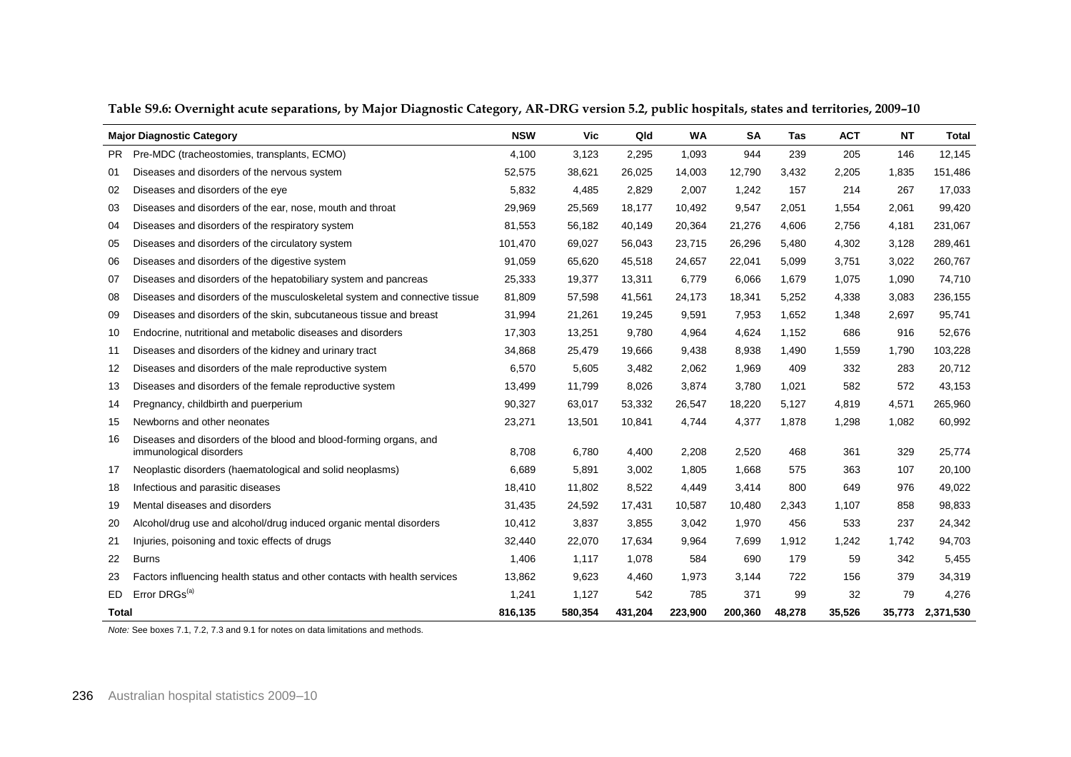|              | <b>Major Diagnostic Category</b>                                                             | <b>NSW</b> | Vic     | Qld     | <b>WA</b> | <b>SA</b> | Tas    | <b>ACT</b> | <b>NT</b> | <b>Total</b> |
|--------------|----------------------------------------------------------------------------------------------|------------|---------|---------|-----------|-----------|--------|------------|-----------|--------------|
| <b>PR</b>    | Pre-MDC (tracheostomies, transplants, ECMO)                                                  | 4.100      | 3,123   | 2,295   | 1,093     | 944       | 239    | 205        | 146       | 12,145       |
| 01           | Diseases and disorders of the nervous system                                                 | 52,575     | 38,621  | 26,025  | 14,003    | 12,790    | 3,432  | 2,205      | 1,835     | 151,486      |
| 02           | Diseases and disorders of the eye                                                            | 5,832      | 4,485   | 2,829   | 2,007     | 1,242     | 157    | 214        | 267       | 17,033       |
| 03           | Diseases and disorders of the ear, nose, mouth and throat                                    | 29.969     | 25,569  | 18.177  | 10,492    | 9,547     | 2,051  | 1,554      | 2,061     | 99,420       |
| 04           | Diseases and disorders of the respiratory system                                             | 81,553     | 56,182  | 40,149  | 20,364    | 21,276    | 4,606  | 2,756      | 4,181     | 231,067      |
| 05           | Diseases and disorders of the circulatory system                                             | 101,470    | 69,027  | 56,043  | 23,715    | 26,296    | 5,480  | 4,302      | 3,128     | 289,461      |
| 06           | Diseases and disorders of the digestive system                                               | 91,059     | 65,620  | 45,518  | 24,657    | 22,041    | 5,099  | 3,751      | 3,022     | 260,767      |
| 07           | Diseases and disorders of the hepatobiliary system and pancreas                              | 25,333     | 19,377  | 13,311  | 6,779     | 6,066     | 1,679  | 1,075      | 1,090     | 74,710       |
| 08           | Diseases and disorders of the musculoskeletal system and connective tissue                   | 81,809     | 57,598  | 41,561  | 24,173    | 18,341    | 5,252  | 4,338      | 3,083     | 236,155      |
| 09           | Diseases and disorders of the skin, subcutaneous tissue and breast                           | 31,994     | 21,261  | 19,245  | 9,591     | 7,953     | 1,652  | 1,348      | 2,697     | 95,741       |
| 10           | Endocrine, nutritional and metabolic diseases and disorders                                  | 17,303     | 13,251  | 9,780   | 4,964     | 4,624     | 1,152  | 686        | 916       | 52,676       |
| 11           | Diseases and disorders of the kidney and urinary tract                                       | 34,868     | 25,479  | 19,666  | 9,438     | 8,938     | 1,490  | 1,559      | 1,790     | 103,228      |
| 12           | Diseases and disorders of the male reproductive system                                       | 6,570      | 5,605   | 3,482   | 2,062     | 1,969     | 409    | 332        | 283       | 20,712       |
| 13           | Diseases and disorders of the female reproductive system                                     | 13,499     | 11,799  | 8,026   | 3,874     | 3,780     | 1,021  | 582        | 572       | 43,153       |
| 14           | Pregnancy, childbirth and puerperium                                                         | 90,327     | 63,017  | 53,332  | 26,547    | 18,220    | 5,127  | 4,819      | 4,571     | 265,960      |
| 15           | Newborns and other neonates                                                                  | 23,271     | 13,501  | 10,841  | 4,744     | 4,377     | 1,878  | 1,298      | 1,082     | 60,992       |
| 16           | Diseases and disorders of the blood and blood-forming organs, and<br>immunological disorders | 8,708      | 6,780   | 4,400   | 2,208     | 2,520     | 468    | 361        | 329       | 25,774       |
| 17           | Neoplastic disorders (haematological and solid neoplasms)                                    | 6.689      | 5,891   | 3,002   | 1,805     | 1,668     | 575    | 363        | 107       | 20,100       |
| 18           | Infectious and parasitic diseases                                                            | 18,410     | 11,802  | 8,522   | 4,449     | 3,414     | 800    | 649        | 976       | 49,022       |
| 19           | Mental diseases and disorders                                                                | 31,435     | 24,592  | 17,431  | 10,587    | 10,480    | 2,343  | 1,107      | 858       | 98,833       |
| 20           | Alcohol/drug use and alcohol/drug induced organic mental disorders                           | 10,412     | 3,837   | 3,855   | 3,042     | 1,970     | 456    | 533        | 237       | 24,342       |
| 21           | Injuries, poisoning and toxic effects of drugs                                               | 32,440     | 22,070  | 17.634  | 9,964     | 7.699     | 1,912  | 1,242      | 1,742     | 94,703       |
| 22           | <b>Burns</b>                                                                                 | 1,406      | 1,117   | 1,078   | 584       | 690       | 179    | 59         | 342       | 5,455        |
| 23           | Factors influencing health status and other contacts with health services                    | 13,862     | 9,623   | 4,460   | 1,973     | 3,144     | 722    | 156        | 379       | 34,319       |
| ED.          | Error DRGs <sup>(a)</sup>                                                                    | 1,241      | 1,127   | 542     | 785       | 371       | 99     | 32         | 79        | 4,276        |
| <b>Total</b> |                                                                                              | 816,135    | 580,354 | 431,204 | 223,900   | 200,360   | 48,278 | 35,526     | 35,773    | 2,371,530    |

**Table S9.6: Overnight acute separations, by Major Diagnostic Category, AR-DRG version 5.2, public hospitals, states and territories, 2009–10**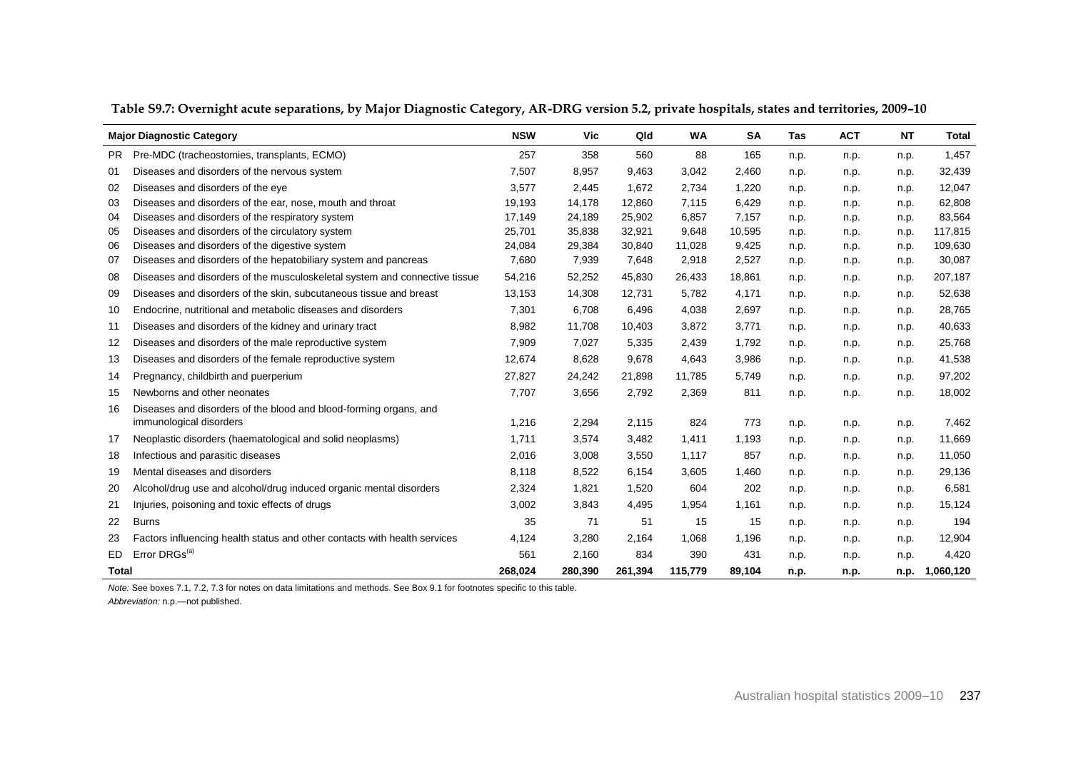|              | <b>Major Diagnostic Category</b>                                           | <b>NSW</b> | <b>Vic</b> | Qld     | <b>WA</b> | <b>SA</b> | Tas  | <b>ACT</b> | <b>NT</b> | <b>Total</b> |
|--------------|----------------------------------------------------------------------------|------------|------------|---------|-----------|-----------|------|------------|-----------|--------------|
| PR.          | Pre-MDC (tracheostomies, transplants, ECMO)                                | 257        | 358        | 560     | 88        | 165       | n.p. | n.p.       | n.p.      | 1,457        |
| 01           | Diseases and disorders of the nervous system                               | 7,507      | 8,957      | 9,463   | 3,042     | 2,460     | n.p. | n.p.       | n.p.      | 32,439       |
| 02           | Diseases and disorders of the eye                                          | 3,577      | 2,445      | 1,672   | 2,734     | 1,220     | n.p. | n.p.       | n.p.      | 12,047       |
| 03           | Diseases and disorders of the ear, nose, mouth and throat                  | 19,193     | 14,178     | 12,860  | 7,115     | 6,429     | n.p. | n.p.       | n.p.      | 62,808       |
| 04           | Diseases and disorders of the respiratory system                           | 17,149     | 24,189     | 25,902  | 6,857     | 7,157     | n.p. | n.p.       | n.p.      | 83,564       |
| 05           | Diseases and disorders of the circulatory system                           | 25,701     | 35,838     | 32,921  | 9,648     | 10,595    | n.p. | n.p.       | n.p.      | 117,815      |
| 06           | Diseases and disorders of the digestive system                             | 24,084     | 29,384     | 30,840  | 11,028    | 9,425     | n.p. | n.p.       | n.p.      | 109,630      |
| 07           | Diseases and disorders of the hepatobiliary system and pancreas            | 7,680      | 7,939      | 7,648   | 2,918     | 2,527     | n.p. | n.p.       | n.p.      | 30,087       |
| 08           | Diseases and disorders of the musculoskeletal system and connective tissue | 54,216     | 52,252     | 45,830  | 26,433    | 18,861    | n.p. | n.p.       | n.p.      | 207,187      |
| 09           | Diseases and disorders of the skin, subcutaneous tissue and breast         | 13,153     | 14,308     | 12,731  | 5,782     | 4,171     | n.p. | n.p.       | n.p.      | 52,638       |
| 10           | Endocrine, nutritional and metabolic diseases and disorders                | 7,301      | 6,708      | 6,496   | 4,038     | 2,697     | n.p. | n.p.       | n.p.      | 28,765       |
| 11           | Diseases and disorders of the kidney and urinary tract                     | 8,982      | 11,708     | 10,403  | 3,872     | 3,771     | n.p. | n.p.       | n.p.      | 40,633       |
| 12           | Diseases and disorders of the male reproductive system                     | 7,909      | 7,027      | 5,335   | 2,439     | 1,792     | n.p. | n.p.       | n.p.      | 25,768       |
| 13           | Diseases and disorders of the female reproductive system                   | 12.674     | 8,628      | 9.678   | 4,643     | 3,986     | n.p. | n.p.       | n.p.      | 41,538       |
| 14           | Pregnancy, childbirth and puerperium                                       | 27.827     | 24,242     | 21.898  | 11.785    | 5.749     | n.p. | n.p.       | n.p.      | 97,202       |
| 15           | Newborns and other neonates                                                | 7,707      | 3,656      | 2,792   | 2,369     | 811       | n.p. | n.p.       | n.p.      | 18,002       |
| 16           | Diseases and disorders of the blood and blood-forming organs, and          |            |            |         |           |           |      |            |           |              |
|              | immunological disorders                                                    | 1,216      | 2,294      | 2,115   | 824       | 773       | n.p. | n.p.       | n.p.      | 7,462        |
| 17           | Neoplastic disorders (haematological and solid neoplasms)                  | 1,711      | 3,574      | 3,482   | 1,411     | 1,193     | n.p. | n.p.       | n.p.      | 11,669       |
| 18           | Infectious and parasitic diseases                                          | 2,016      | 3,008      | 3,550   | 1,117     | 857       | n.p. | n.p.       | n.p.      | 11,050       |
| 19           | Mental diseases and disorders                                              | 8,118      | 8,522      | 6,154   | 3,605     | 1,460     | n.p. | n.p.       | n.p.      | 29,136       |
| 20           | Alcohol/drug use and alcohol/drug induced organic mental disorders         | 2,324      | 1,821      | 1,520   | 604       | 202       | n.p. | n.p.       | n.p.      | 6,581        |
| 21           | Injuries, poisoning and toxic effects of drugs                             | 3,002      | 3,843      | 4,495   | 1,954     | 1,161     | n.p. | n.p.       | n.p.      | 15,124       |
| 22           | <b>Burns</b>                                                               | 35         | 71         | 51      | 15        | 15        | n.p. | n.p.       | n.p.      | 194          |
| 23           | Factors influencing health status and other contacts with health services  | 4,124      | 3,280      | 2.164   | 1,068     | 1,196     | n.p. | n.p.       | n.p.      | 12,904       |
| ED.          | Error DRGs <sup>(a)</sup>                                                  | 561        | 2,160      | 834     | 390       | 431       | n.p. | n.p.       | n.p.      | 4,420        |
| <b>Total</b> |                                                                            | 268,024    | 280,390    | 261,394 | 115,779   | 89,104    | n.p. | n.p.       | n.p.      | 1,060,120    |

**Table S9.7: Overnight acute separations, by Major Diagnostic Category, AR-DRG version 5.2, private hospitals, states and territories, 2009–10**

*Note:* See boxes 7.1, 7.2, 7.3 for notes on data limitations and methods. See Box 9.1 for footnotes specific to this table.

*Abbreviation:* n.p.—not published.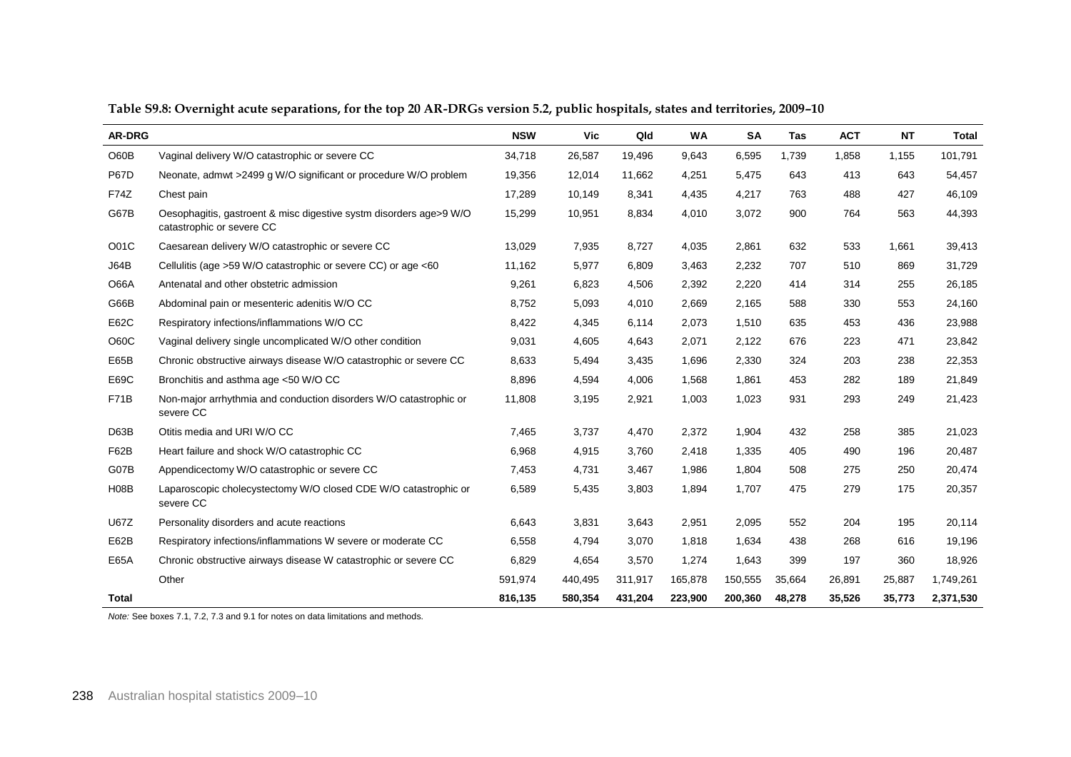| AR-DRG      |                                                                                                 | <b>NSW</b> | <b>Vic</b> | Qld     | <b>WA</b> | <b>SA</b> | Tas    | <b>ACT</b> | <b>NT</b> | <b>Total</b> |
|-------------|-------------------------------------------------------------------------------------------------|------------|------------|---------|-----------|-----------|--------|------------|-----------|--------------|
| O60B        | Vaginal delivery W/O catastrophic or severe CC                                                  | 34,718     | 26,587     | 19,496  | 9,643     | 6,595     | 1,739  | 1,858      | 1,155     | 101,791      |
| <b>P67D</b> | Neonate, admwt >2499 g W/O significant or procedure W/O problem                                 | 19,356     | 12,014     | 11,662  | 4,251     | 5,475     | 643    | 413        | 643       | 54,457       |
| <b>F74Z</b> | Chest pain                                                                                      | 17,289     | 10,149     | 8,341   | 4,435     | 4,217     | 763    | 488        | 427       | 46,109       |
| G67B        | Oesophagitis, gastroent & misc digestive systm disorders age>9 W/O<br>catastrophic or severe CC | 15,299     | 10,951     | 8,834   | 4,010     | 3,072     | 900    | 764        | 563       | 44,393       |
| O01C        | Caesarean delivery W/O catastrophic or severe CC                                                | 13,029     | 7,935      | 8,727   | 4,035     | 2,861     | 632    | 533        | 1,661     | 39,413       |
| J64B        | Cellulitis (age >59 W/O catastrophic or severe CC) or age <60                                   | 11,162     | 5,977      | 6,809   | 3,463     | 2,232     | 707    | 510        | 869       | 31,729       |
| <b>O66A</b> | Antenatal and other obstetric admission                                                         | 9,261      | 6,823      | 4,506   | 2,392     | 2,220     | 414    | 314        | 255       | 26,185       |
| G66B        | Abdominal pain or mesenteric adenitis W/O CC                                                    | 8,752      | 5,093      | 4,010   | 2,669     | 2,165     | 588    | 330        | 553       | 24,160       |
| E62C        | Respiratory infections/inflammations W/O CC                                                     | 8,422      | 4,345      | 6,114   | 2,073     | 1,510     | 635    | 453        | 436       | 23,988       |
| O60C        | Vaginal delivery single uncomplicated W/O other condition                                       | 9,031      | 4,605      | 4,643   | 2,071     | 2,122     | 676    | 223        | 471       | 23,842       |
| E65B        | Chronic obstructive airways disease W/O catastrophic or severe CC                               | 8,633      | 5,494      | 3,435   | 1,696     | 2,330     | 324    | 203        | 238       | 22,353       |
| E69C        | Bronchitis and asthma age <50 W/O CC                                                            | 8,896      | 4,594      | 4,006   | 1,568     | 1,861     | 453    | 282        | 189       | 21,849       |
| <b>F71B</b> | Non-major arrhythmia and conduction disorders W/O catastrophic or<br>severe CC                  | 11,808     | 3,195      | 2,921   | 1,003     | 1,023     | 931    | 293        | 249       | 21,423       |
| D63B        | Otitis media and URI W/O CC                                                                     | 7.465      | 3,737      | 4.470   | 2,372     | 1,904     | 432    | 258        | 385       | 21,023       |
| F62B        | Heart failure and shock W/O catastrophic CC                                                     | 6,968      | 4,915      | 3,760   | 2,418     | 1,335     | 405    | 490        | 196       | 20,487       |
| G07B        | Appendicectomy W/O catastrophic or severe CC                                                    | 7,453      | 4,731      | 3,467   | 1,986     | 1,804     | 508    | 275        | 250       | 20,474       |
| <b>H08B</b> | Laparoscopic cholecystectomy W/O closed CDE W/O catastrophic or<br>severe CC                    | 6,589      | 5,435      | 3,803   | 1,894     | 1,707     | 475    | 279        | 175       | 20,357       |
| <b>U67Z</b> | Personality disorders and acute reactions                                                       | 6,643      | 3,831      | 3,643   | 2,951     | 2,095     | 552    | 204        | 195       | 20,114       |
| E62B        | Respiratory infections/inflammations W severe or moderate CC                                    | 6,558      | 4,794      | 3,070   | 1,818     | 1,634     | 438    | 268        | 616       | 19,196       |
| E65A        | Chronic obstructive airways disease W catastrophic or severe CC                                 | 6,829      | 4,654      | 3,570   | 1,274     | 1,643     | 399    | 197        | 360       | 18,926       |
|             | Other                                                                                           | 591,974    | 440,495    | 311,917 | 165,878   | 150,555   | 35,664 | 26,891     | 25,887    | 1,749,261    |
| Total       |                                                                                                 | 816,135    | 580,354    | 431,204 | 223,900   | 200,360   | 48,278 | 35,526     | 35,773    | 2,371,530    |

### **Table S9.8: Overnight acute separations, for the top 20 AR-DRGs version 5.2, public hospitals, states and territories, 2009–10**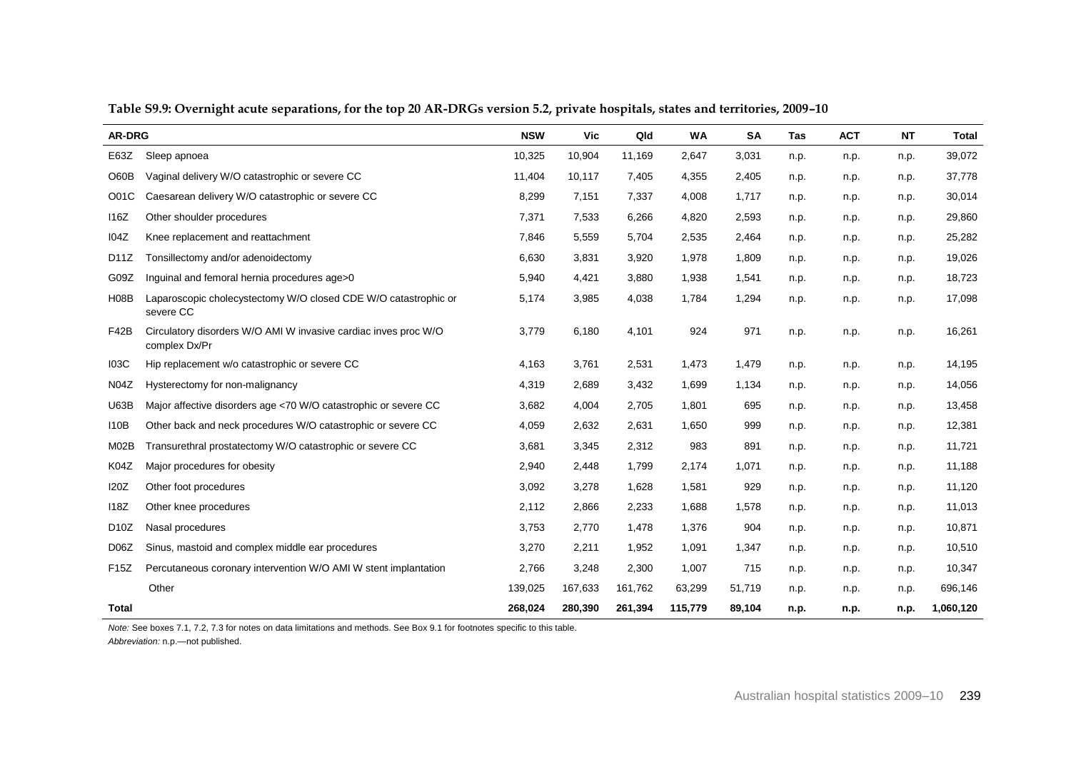| <b>AR-DRG</b>     |                                                                                  | <b>NSW</b> | Vic     | Qld     | <b>WA</b> | SA     | Tas  | <b>ACT</b> | <b>NT</b> | <b>Total</b> |
|-------------------|----------------------------------------------------------------------------------|------------|---------|---------|-----------|--------|------|------------|-----------|--------------|
| E63Z              | Sleep apnoea                                                                     | 10,325     | 10,904  | 11,169  | 2,647     | 3,031  | n.p. | n.p.       | n.p.      | 39,072       |
| O60B              | Vaginal delivery W/O catastrophic or severe CC                                   | 11,404     | 10,117  | 7,405   | 4,355     | 2,405  | n.p. | n.p.       | n.p.      | 37,778       |
| O01C              | Caesarean delivery W/O catastrophic or severe CC                                 | 8,299      | 7,151   | 7,337   | 4,008     | 1,717  | n.p. | n.p.       | n.p.      | 30,014       |
| 116Z              | Other shoulder procedures                                                        | 7,371      | 7,533   | 6,266   | 4,820     | 2,593  | n.p. | n.p.       | n.p.      | 29,860       |
| <b>I04Z</b>       | Knee replacement and reattachment                                                | 7,846      | 5,559   | 5,704   | 2,535     | 2,464  | n.p. | n.p.       | n.p.      | 25,282       |
| D11Z              | Tonsillectomy and/or adenoidectomy                                               | 6,630      | 3,831   | 3,920   | 1,978     | 1,809  | n.p. | n.p.       | n.p.      | 19,026       |
| G09Z              | Inquinal and femoral hernia procedures age>0                                     | 5,940      | 4,421   | 3,880   | 1,938     | 1,541  | n.p. | n.p.       | n.p.      | 18,723       |
| <b>H08B</b>       | Laparoscopic cholecystectomy W/O closed CDE W/O catastrophic or<br>severe CC     | 5,174      | 3,985   | 4,038   | 1,784     | 1,294  | n.p. | n.p.       | n.p.      | 17,098       |
| F42B              | Circulatory disorders W/O AMI W invasive cardiac inves proc W/O<br>complex Dx/Pr | 3,779      | 6,180   | 4,101   | 924       | 971    | n.p. | n.p.       | n.p.      | 16,261       |
| <b>103C</b>       | Hip replacement w/o catastrophic or severe CC                                    | 4,163      | 3,761   | 2,531   | 1,473     | 1,479  | n.p. | n.p.       | n.p.      | 14,195       |
| N04Z              | Hysterectomy for non-malignancy                                                  | 4,319      | 2,689   | 3,432   | 1,699     | 1,134  | n.p. | n.p.       | n.p.      | 14,056       |
| <b>U63B</b>       | Major affective disorders age <70 W/O catastrophic or severe CC                  | 3,682      | 4,004   | 2,705   | 1,801     | 695    | n.p. | n.p.       | n.p.      | 13,458       |
| 110B              | Other back and neck procedures W/O catastrophic or severe CC                     | 4,059      | 2,632   | 2,631   | 1,650     | 999    | n.p. | n.p.       | n.p.      | 12,381       |
| M02B              | Transurethral prostatectomy W/O catastrophic or severe CC                        | 3,681      | 3,345   | 2,312   | 983       | 891    | n.p. | n.p.       | n.p.      | 11,721       |
| K04Z              | Major procedures for obesity                                                     | 2,940      | 2,448   | 1,799   | 2,174     | 1,071  | n.p. | n.p.       | n.p.      | 11,188       |
| <b>I20Z</b>       | Other foot procedures                                                            | 3,092      | 3,278   | 1,628   | 1,581     | 929    | n.p. | n.p.       | n.p.      | 11,120       |
| <b>118Z</b>       | Other knee procedures                                                            | 2,112      | 2,866   | 2,233   | 1,688     | 1,578  | n.p. | n.p.       | n.p.      | 11,013       |
| D <sub>10</sub> Z | Nasal procedures                                                                 | 3,753      | 2,770   | 1,478   | 1,376     | 904    | n.p. | n.p.       | n.p.      | 10,871       |
| D <sub>06</sub> Z | Sinus, mastoid and complex middle ear procedures                                 | 3,270      | 2,211   | 1,952   | 1,091     | 1,347  | n.p. | n.p.       | n.p.      | 10,510       |
| F15Z              | Percutaneous coronary intervention W/O AMI W stent implantation                  | 2,766      | 3,248   | 2,300   | 1,007     | 715    | n.p. | n.p.       | n.p.      | 10,347       |
|                   | Other                                                                            | 139,025    | 167,633 | 161,762 | 63,299    | 51,719 | n.p. | n.p.       | n.p.      | 696,146      |
| Total             |                                                                                  | 268,024    | 280,390 | 261,394 | 115,779   | 89,104 | n.p. | n.p.       | n.p.      | 1,060,120    |

**Table S9.9: Overnight acute separations, for the top 20 AR-DRGs version 5.2, private hospitals, states and territories, 2009–10**

*Note:* See boxes 7.1, 7.2, 7.3 for notes on data limitations and methods. See Box 9.1 for footnotes specific to this table.

*Abbreviation:* n.p.—not published.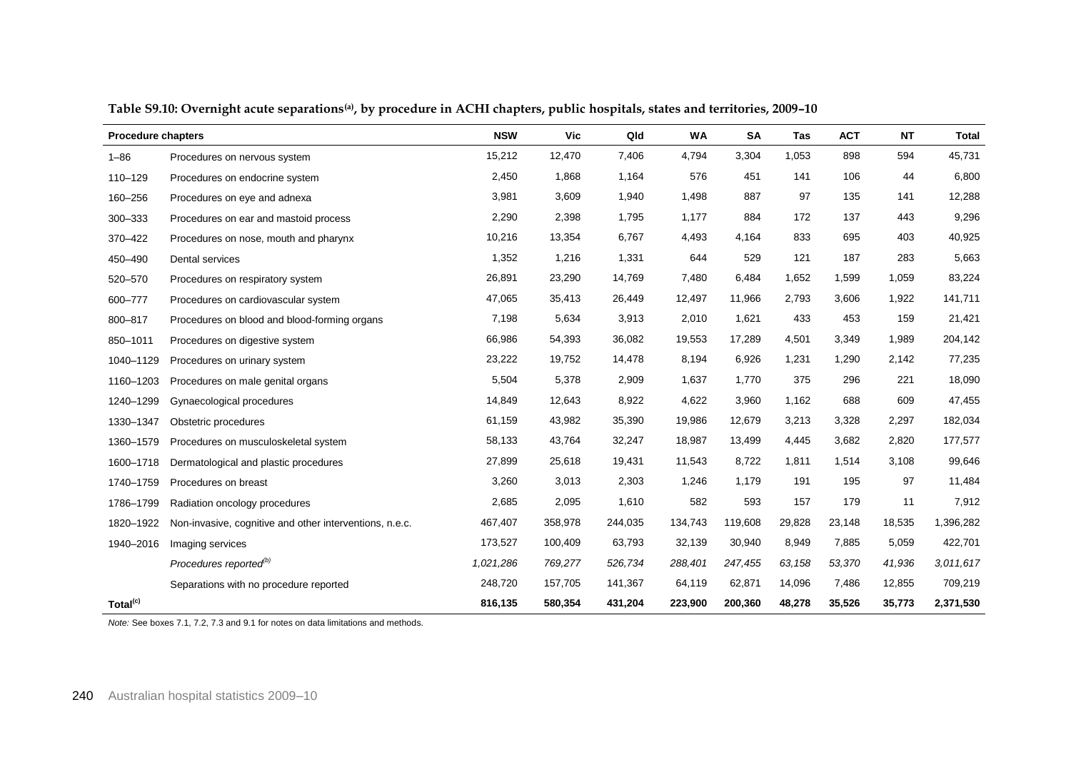| <b>Procedure chapters</b> |                                                         | <b>NSW</b> | Vic     | Qld     | <b>WA</b> | <b>SA</b> | Tas    | <b>ACT</b> | <b>NT</b> | Total     |
|---------------------------|---------------------------------------------------------|------------|---------|---------|-----------|-----------|--------|------------|-----------|-----------|
| $1 - 86$                  | Procedures on nervous system                            | 15,212     | 12,470  | 7,406   | 4,794     | 3,304     | 1,053  | 898        | 594       | 45,731    |
| 110-129                   | Procedures on endocrine system                          | 2,450      | 1,868   | 1,164   | 576       | 451       | 141    | 106        | 44        | 6,800     |
| 160-256                   | Procedures on eye and adnexa                            | 3,981      | 3,609   | 1,940   | 1,498     | 887       | 97     | 135        | 141       | 12,288    |
| 300-333                   | Procedures on ear and mastoid process                   | 2,290      | 2,398   | 1,795   | 1,177     | 884       | 172    | 137        | 443       | 9,296     |
| 370-422                   | Procedures on nose, mouth and pharynx                   | 10,216     | 13,354  | 6,767   | 4,493     | 4,164     | 833    | 695        | 403       | 40,925    |
| 450-490                   | Dental services                                         | 1,352      | 1,216   | 1,331   | 644       | 529       | 121    | 187        | 283       | 5,663     |
| 520-570                   | Procedures on respiratory system                        | 26,891     | 23,290  | 14,769  | 7,480     | 6,484     | 1,652  | 1,599      | 1,059     | 83,224    |
| 600-777                   | Procedures on cardiovascular system                     | 47,065     | 35,413  | 26,449  | 12,497    | 11,966    | 2,793  | 3,606      | 1,922     | 141,711   |
| 800-817                   | Procedures on blood and blood-forming organs            | 7,198      | 5,634   | 3,913   | 2,010     | 1,621     | 433    | 453        | 159       | 21,421    |
| 850-1011                  | Procedures on digestive system                          | 66,986     | 54,393  | 36,082  | 19,553    | 17,289    | 4,501  | 3,349      | 1,989     | 204,142   |
| 1040-1129                 | Procedures on urinary system                            | 23,222     | 19,752  | 14,478  | 8,194     | 6,926     | 1,231  | 1,290      | 2,142     | 77,235    |
| 1160-1203                 | Procedures on male genital organs                       | 5,504      | 5,378   | 2,909   | 1,637     | 1,770     | 375    | 296        | 221       | 18,090    |
| 1240-1299                 | Gynaecological procedures                               | 14,849     | 12,643  | 8,922   | 4,622     | 3,960     | 1,162  | 688        | 609       | 47,455    |
| 1330-1347                 | Obstetric procedures                                    | 61,159     | 43,982  | 35,390  | 19,986    | 12,679    | 3,213  | 3,328      | 2,297     | 182,034   |
| 1360-1579                 | Procedures on musculoskeletal system                    | 58,133     | 43,764  | 32,247  | 18,987    | 13,499    | 4,445  | 3,682      | 2,820     | 177,577   |
| 1600-1718                 | Dermatological and plastic procedures                   | 27,899     | 25,618  | 19,431  | 11,543    | 8,722     | 1,811  | 1,514      | 3,108     | 99,646    |
| 1740-1759                 | Procedures on breast                                    | 3,260      | 3,013   | 2,303   | 1,246     | 1,179     | 191    | 195        | 97        | 11,484    |
| 1786-1799                 | Radiation oncology procedures                           | 2,685      | 2,095   | 1,610   | 582       | 593       | 157    | 179        | 11        | 7,912     |
| 1820-1922                 | Non-invasive, cognitive and other interventions, n.e.c. | 467,407    | 358,978 | 244,035 | 134,743   | 119,608   | 29,828 | 23,148     | 18,535    | 1,396,282 |
| 1940-2016                 | Imaging services                                        | 173,527    | 100,409 | 63,793  | 32,139    | 30,940    | 8,949  | 7,885      | 5,059     | 422,701   |
|                           | Procedures reported <sup>(b)</sup>                      | 1,021,286  | 769,277 | 526,734 | 288,401   | 247,455   | 63,158 | 53,370     | 41,936    | 3,011,617 |
|                           | Separations with no procedure reported                  | 248,720    | 157,705 | 141,367 | 64,119    | 62,871    | 14,096 | 7,486      | 12,855    | 709,219   |
| Total <sup>(c)</sup>      |                                                         | 816,135    | 580,354 | 431,204 | 223,900   | 200,360   | 48,278 | 35,526     | 35,773    | 2,371,530 |

**Table S9.10: Overnight acute separations(a), by procedure in ACHI chapters, public hospitals, states and territories, 2009–10**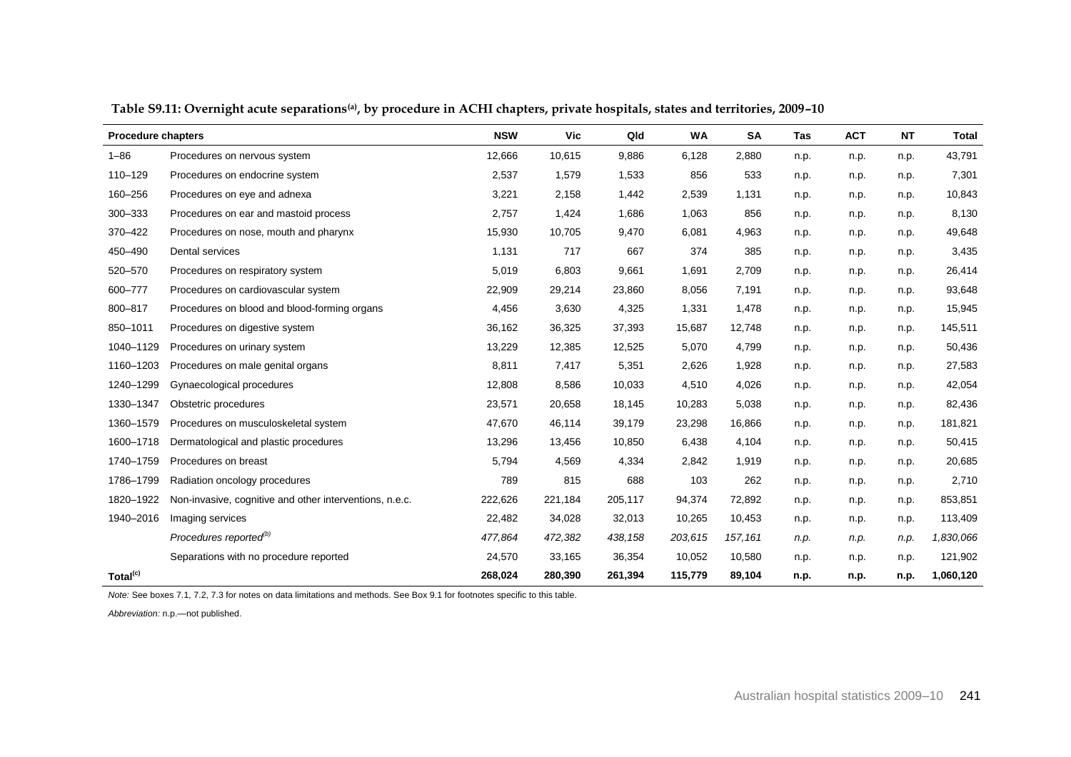| <b>Procedure chapters</b> |                                                         | <b>NSW</b> | Vic     | Qld     | <b>WA</b> | <b>SA</b> | Tas  | <b>ACT</b> | <b>NT</b> | Total     |
|---------------------------|---------------------------------------------------------|------------|---------|---------|-----------|-----------|------|------------|-----------|-----------|
| $1 - 86$                  | Procedures on nervous system                            | 12,666     | 10,615  | 9,886   | 6,128     | 2,880     | n.p. | n.p.       | n.p.      | 43,791    |
| 110-129                   | Procedures on endocrine system                          | 2,537      | 1,579   | 1,533   | 856       | 533       | n.p. | n.p.       | n.p.      | 7,301     |
| 160-256                   | Procedures on eye and adnexa                            | 3,221      | 2,158   | 1,442   | 2,539     | 1,131     | n.p. | n.p.       | n.p.      | 10,843    |
| 300-333                   | Procedures on ear and mastoid process                   | 2,757      | 1,424   | 1,686   | 1,063     | 856       | n.p. | n.p.       | n.p.      | 8,130     |
| 370-422                   | Procedures on nose, mouth and pharynx                   | 15,930     | 10,705  | 9,470   | 6,081     | 4,963     | n.p. | n.p.       | n.p.      | 49,648    |
| 450-490                   | Dental services                                         | 1,131      | 717     | 667     | 374       | 385       | n.p. | n.p.       | n.p.      | 3,435     |
| 520-570                   | Procedures on respiratory system                        | 5,019      | 6,803   | 9,661   | 1,691     | 2,709     | n.p. | n.p.       | n.p.      | 26,414    |
| 600-777                   | Procedures on cardiovascular system                     | 22,909     | 29,214  | 23,860  | 8,056     | 7,191     | n.p. | n.p.       | n.p.      | 93,648    |
| 800-817                   | Procedures on blood and blood-forming organs            | 4,456      | 3,630   | 4,325   | 1,331     | 1,478     | n.p. | n.p.       | n.p.      | 15,945    |
| 850-1011                  | Procedures on digestive system                          | 36,162     | 36,325  | 37,393  | 15,687    | 12,748    | n.p. | n.p.       | n.p.      | 145,511   |
| 1040-1129                 | Procedures on urinary system                            | 13,229     | 12,385  | 12,525  | 5,070     | 4,799     | n.p. | n.p.       | n.p.      | 50,436    |
| 1160-1203                 | Procedures on male genital organs                       | 8,811      | 7,417   | 5,351   | 2,626     | 1,928     | n.p. | n.p.       | n.p.      | 27,583    |
| 1240-1299                 | Gynaecological procedures                               | 12,808     | 8,586   | 10,033  | 4,510     | 4,026     | n.p. | n.p.       | n.p.      | 42,054    |
| 1330-1347                 | Obstetric procedures                                    | 23,571     | 20,658  | 18,145  | 10,283    | 5,038     | n.p. | n.p.       | n.p.      | 82,436    |
| 1360-1579                 | Procedures on musculoskeletal system                    | 47,670     | 46,114  | 39,179  | 23,298    | 16,866    | n.p. | n.p.       | n.p.      | 181,821   |
| 1600-1718                 | Dermatological and plastic procedures                   | 13,296     | 13,456  | 10,850  | 6,438     | 4,104     | n.p. | n.p.       | n.p.      | 50,415    |
| 1740-1759                 | Procedures on breast                                    | 5,794      | 4,569   | 4,334   | 2,842     | 1,919     | n.p. | n.p.       | n.p.      | 20,685    |
| 1786-1799                 | Radiation oncology procedures                           | 789        | 815     | 688     | 103       | 262       | n.p. | n.p.       | n.p.      | 2,710     |
| 1820-1922                 | Non-invasive, cognitive and other interventions, n.e.c. | 222,626    | 221,184 | 205,117 | 94,374    | 72,892    | n.p. | n.p.       | n.p.      | 853,851   |
| 1940-2016                 | Imaging services                                        | 22,482     | 34,028  | 32,013  | 10,265    | 10,453    | n.p. | n.p.       | n.p.      | 113,409   |
|                           | Procedures reported <sup>(b)</sup>                      | 477,864    | 472,382 | 438,158 | 203,615   | 157,161   | n.p. | n.p.       | n.p.      | 1,830,066 |
|                           | Separations with no procedure reported                  | 24,570     | 33,165  | 36,354  | 10,052    | 10,580    | n.p. | n.p.       | n.p.      | 121,902   |
| Total <sup>(c)</sup>      |                                                         | 268,024    | 280,390 | 261,394 | 115,779   | 89,104    | n.p. | n.p.       | n.p.      | 1,060,120 |

**Table S9.11: Overnight acute separations(a), by procedure in ACHI chapters, private hospitals, states and territories, 2009–10**

*Note:* See boxes 7.1, 7.2, 7.3 for notes on data limitations and methods. See Box 9.1 for footnotes specific to this table.

*Abbreviation:* n.p.—not published.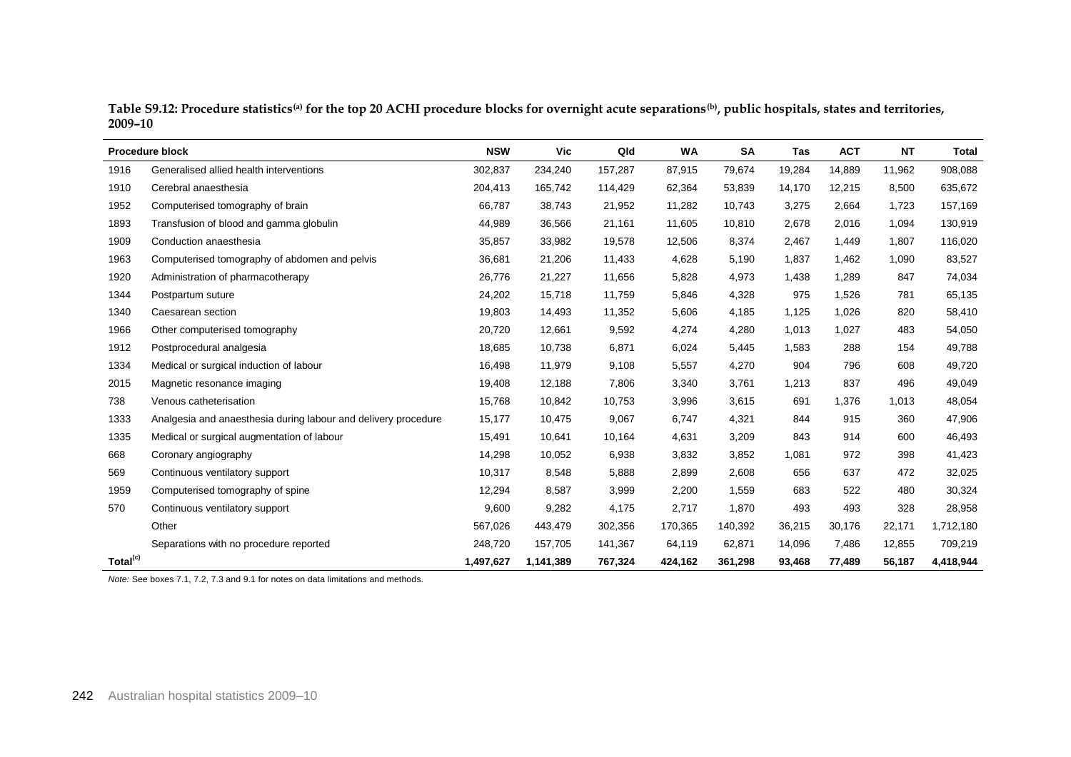| Table S9.12: Procedure statistics <sup>(a)</sup> for the top 20 ACHI procedure blocks for overnight acute separations <sup>(b)</sup> , public hospitals, states and territories, |  |
|----------------------------------------------------------------------------------------------------------------------------------------------------------------------------------|--|
| 2009-10                                                                                                                                                                          |  |

|                      | <b>Procedure block</b>                                         | <b>NSW</b> | Vic       | Qld     | <b>WA</b> | <b>SA</b> | Tas    | <b>ACT</b> | <b>NT</b> | Total     |
|----------------------|----------------------------------------------------------------|------------|-----------|---------|-----------|-----------|--------|------------|-----------|-----------|
| 1916                 | Generalised allied health interventions                        | 302,837    | 234,240   | 157,287 | 87,915    | 79,674    | 19,284 | 14,889     | 11,962    | 908,088   |
| 1910                 | Cerebral anaesthesia                                           | 204,413    | 165,742   | 114,429 | 62,364    | 53,839    | 14,170 | 12,215     | 8,500     | 635,672   |
| 1952                 | Computerised tomography of brain                               | 66,787     | 38,743    | 21,952  | 11,282    | 10,743    | 3,275  | 2,664      | 1,723     | 157,169   |
| 1893                 | Transfusion of blood and gamma globulin                        | 44,989     | 36,566    | 21,161  | 11,605    | 10,810    | 2,678  | 2,016      | 1,094     | 130,919   |
| 1909                 | Conduction anaesthesia                                         | 35,857     | 33,982    | 19,578  | 12,506    | 8,374     | 2,467  | 1,449      | 1,807     | 116,020   |
| 1963                 | Computerised tomography of abdomen and pelvis                  | 36,681     | 21,206    | 11,433  | 4,628     | 5,190     | 1,837  | 1,462      | 1,090     | 83,527    |
| 1920                 | Administration of pharmacotherapy                              | 26,776     | 21,227    | 11,656  | 5,828     | 4,973     | 1,438  | 1,289      | 847       | 74,034    |
| 1344                 | Postpartum suture                                              | 24,202     | 15,718    | 11,759  | 5,846     | 4,328     | 975    | 1,526      | 781       | 65,135    |
| 1340                 | Caesarean section                                              | 19,803     | 14,493    | 11,352  | 5,606     | 4,185     | 1,125  | 1,026      | 820       | 58,410    |
| 1966                 | Other computerised tomography                                  | 20,720     | 12,661    | 9,592   | 4,274     | 4,280     | 1,013  | 1,027      | 483       | 54,050    |
| 1912                 | Postprocedural analgesia                                       | 18,685     | 10,738    | 6,871   | 6,024     | 5,445     | 1,583  | 288        | 154       | 49,788    |
| 1334                 | Medical or surgical induction of labour                        | 16,498     | 11,979    | 9,108   | 5,557     | 4,270     | 904    | 796        | 608       | 49,720    |
| 2015                 | Magnetic resonance imaging                                     | 19,408     | 12,188    | 7,806   | 3,340     | 3,761     | 1,213  | 837        | 496       | 49,049    |
| 738                  | Venous catheterisation                                         | 15,768     | 10,842    | 10,753  | 3,996     | 3,615     | 691    | 1,376      | 1,013     | 48,054    |
| 1333                 | Analgesia and anaesthesia during labour and delivery procedure | 15,177     | 10,475    | 9,067   | 6,747     | 4,321     | 844    | 915        | 360       | 47,906    |
| 1335                 | Medical or surgical augmentation of labour                     | 15,491     | 10,641    | 10,164  | 4,631     | 3,209     | 843    | 914        | 600       | 46,493    |
| 668                  | Coronary angiography                                           | 14,298     | 10,052    | 6,938   | 3,832     | 3,852     | 1,081  | 972        | 398       | 41,423    |
| 569                  | Continuous ventilatory support                                 | 10,317     | 8,548     | 5,888   | 2,899     | 2,608     | 656    | 637        | 472       | 32,025    |
| 1959                 | Computerised tomography of spine                               | 12,294     | 8,587     | 3,999   | 2,200     | 1,559     | 683    | 522        | 480       | 30,324    |
| 570                  | Continuous ventilatory support                                 | 9,600      | 9,282     | 4,175   | 2,717     | 1,870     | 493    | 493        | 328       | 28,958    |
|                      | Other                                                          | 567,026    | 443,479   | 302,356 | 170,365   | 140,392   | 36,215 | 30,176     | 22,171    | 1,712,180 |
|                      | Separations with no procedure reported                         | 248,720    | 157,705   | 141,367 | 64,119    | 62,871    | 14,096 | 7,486      | 12,855    | 709,219   |
| Total <sup>(c)</sup> |                                                                | 1,497,627  | 1,141,389 | 767,324 | 424,162   | 361,298   | 93,468 | 77,489     | 56,187    | 4,418,944 |